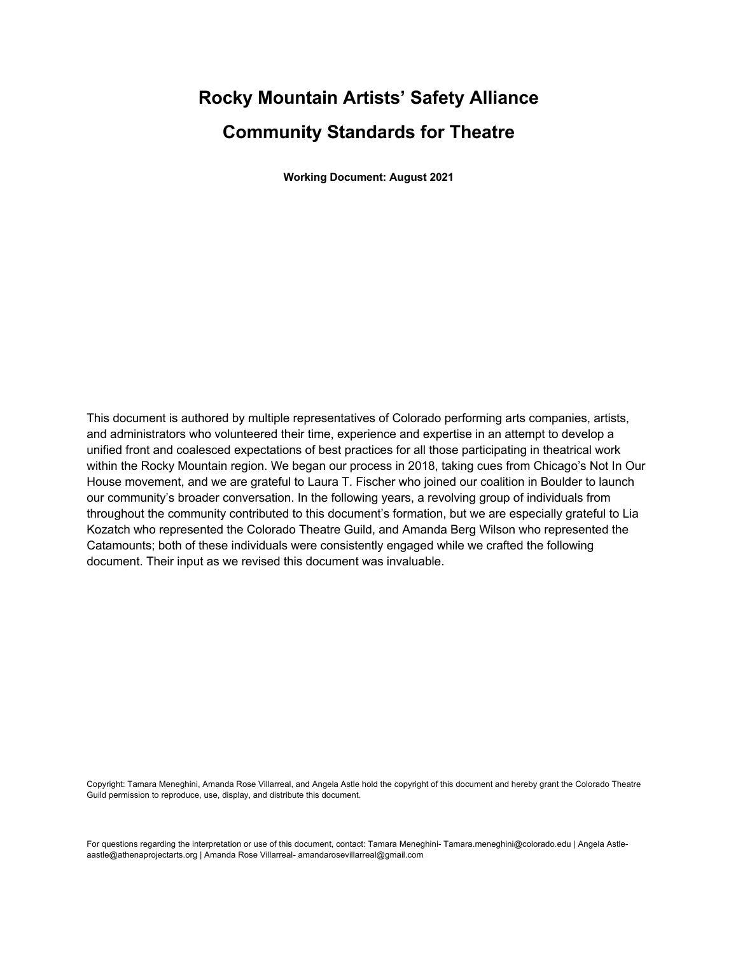# **Rocky Mountain Artists' Safety Alliance Community Standards for Theatre**

**Working Document: August 2021**

This document is authored by multiple representatives of Colorado performing arts companies, artists, and administrators who volunteered their time, experience and expertise in an attempt to develop a unified front and coalesced expectations of best practices for all those participating in theatrical work within the Rocky Mountain region. We began our process in 2018, taking cues from Chicago's Not In Our House movement, and we are grateful to Laura T. Fischer who joined our coalition in Boulder to launch our community's broader conversation. In the following years, a revolving group of individuals from throughout the community contributed to this document's formation, but we are especially grateful to Lia Kozatch who represented the Colorado Theatre Guild, and Amanda Berg Wilson who represented the Catamounts; both of these individuals were consistently engaged while we crafted the following document. Their input as we revised this document was invaluable.

Copyright: Tamara Meneghini, Amanda Rose Villarreal, and Angela Astle hold the copyright of this document and hereby grant the Colorado Theatre Guild permission to reproduce, use, display, and distribute this document.

For questions regarding the interpretation or use of this document, contact: Tamara Meneghini- Tamara.meneghini@colorado.edu | Angela Astleaastle@athenaprojectarts.org | Amanda Rose Villarreal- amandarosevillarreal@gmail.com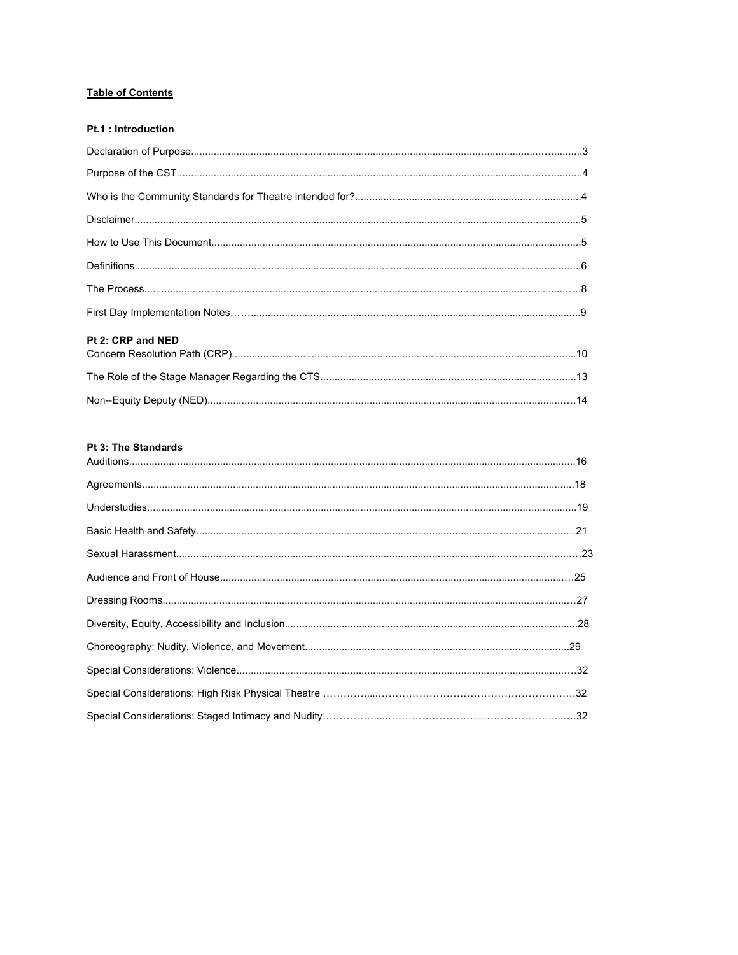## **Table of Contents**

| <b>Pt.1 : Introduction</b> |  |
|----------------------------|--|
|                            |  |
|                            |  |
|                            |  |
|                            |  |
|                            |  |
|                            |  |
|                            |  |
|                            |  |
| Pt 2: CRP and NED          |  |
|                            |  |
|                            |  |
|                            |  |

## Pt 3: The Standards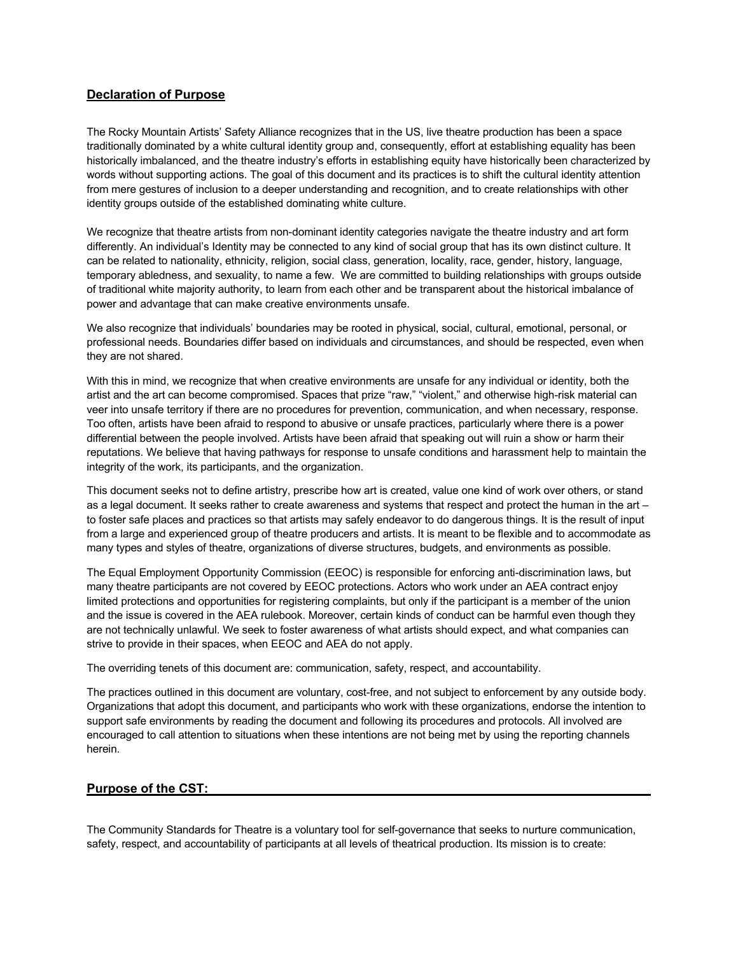## **Declaration of Purpose**

The Rocky Mountain Artists' Safety Alliance recognizes that in the US, live theatre production has been a space traditionally dominated by a white cultural identity group and, consequently, effort at establishing equality has been historically imbalanced, and the theatre industry's efforts in establishing equity have historically been characterized by words without supporting actions. The goal of this document and its practices is to shift the cultural identity attention from mere gestures of inclusion to a deeper understanding and recognition, and to create relationships with other identity groups outside of the established dominating white culture.

We recognize that theatre artists from non-dominant identity categories navigate the theatre industry and art form differently. An individual's Identity may be connected to any kind of social group that has its own distinct culture. It can be related to nationality, ethnicity, religion, social class, generation, locality, race, gender, history, language, temporary abledness, and sexuality, to name a few. We are committed to building relationships with groups outside of traditional white majority authority, to learn from each other and be transparent about the historical imbalance of power and advantage that can make creative environments unsafe.

We also recognize that individuals' boundaries may be rooted in physical, social, cultural, emotional, personal, or professional needs. Boundaries differ based on individuals and circumstances, and should be respected, even when they are not shared.

With this in mind, we recognize that when creative environments are unsafe for any individual or identity, both the artist and the art can become compromised. Spaces that prize "raw," "violent," and otherwise high-risk material can veer into unsafe territory if there are no procedures for prevention, communication, and when necessary, response. Too often, artists have been afraid to respond to abusive or unsafe practices, particularly where there is a power differential between the people involved. Artists have been afraid that speaking out will ruin a show or harm their reputations. We believe that having pathways for response to unsafe conditions and harassment help to maintain the integrity of the work, its participants, and the organization.

This document seeks not to define artistry, prescribe how art is created, value one kind of work over others, or stand as a legal document. It seeks rather to create awareness and systems that respect and protect the human in the art – to foster safe places and practices so that artists may safely endeavor to do dangerous things. It is the result of input from a large and experienced group of theatre producers and artists. It is meant to be flexible and to accommodate as many types and styles of theatre, organizations of diverse structures, budgets, and environments as possible.

The Equal Employment Opportunity Commission (EEOC) is responsible for enforcing anti-discrimination laws, but many theatre participants are not covered by EEOC protections. Actors who work under an AEA contract enjoy limited protections and opportunities for registering complaints, but only if the participant is a member of the union and the issue is covered in the AEA rulebook. Moreover, certain kinds of conduct can be harmful even though they are not technically unlawful. We seek to foster awareness of what artists should expect, and what companies can strive to provide in their spaces, when EEOC and AEA do not apply.

The overriding tenets of this document are: communication, safety, respect, and accountability.

The practices outlined in this document are voluntary, cost-free, and not subject to enforcement by any outside body. Organizations that adopt this document, and participants who work with these organizations, endorse the intention to support safe environments by reading the document and following its procedures and protocols. All involved are encouraged to call attention to situations when these intentions are not being met by using the reporting channels herein.

## **Purpose of the CST:**

The Community Standards for Theatre is a voluntary tool for self-governance that seeks to nurture communication, safety, respect, and accountability of participants at all levels of theatrical production. Its mission is to create: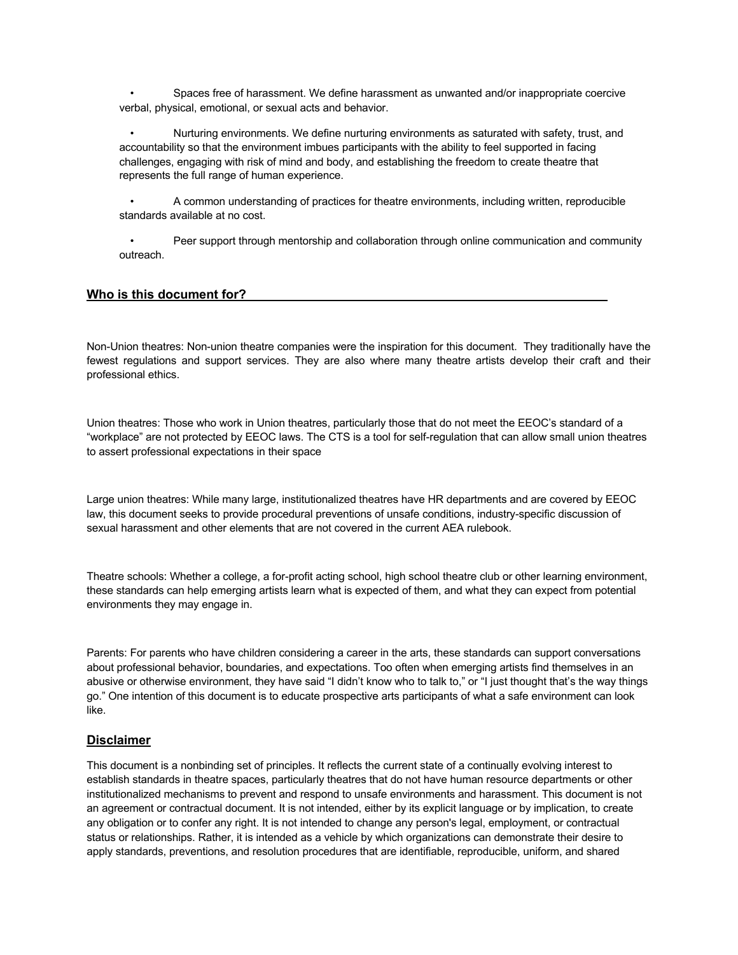• Spaces free of harassment. We define harassment as unwanted and/or inappropriate coercive verbal, physical, emotional, or sexual acts and behavior.

• Nurturing environments. We define nurturing environments as saturated with safety, trust, and accountability so that the environment imbues participants with the ability to feel supported in facing challenges, engaging with risk of mind and body, and establishing the freedom to create theatre that represents the full range of human experience.

• A common understanding of practices for theatre environments, including written, reproducible standards available at no cost.

• Peer support through mentorship and collaboration through online communication and community outreach.

### **Who is this document for?**

Non-Union theatres: Non-union theatre companies were the inspiration for this document. They traditionally have the fewest regulations and support services. They are also where many theatre artists develop their craft and their professional ethics.

Union theatres: Those who work in Union theatres, particularly those that do not meet the EEOC's standard of a "workplace" are not protected by EEOC laws. The CTS is a tool for self-regulation that can allow small union theatres to assert professional expectations in their space

Large union theatres: While many large, institutionalized theatres have HR departments and are covered by EEOC law, this document seeks to provide procedural preventions of unsafe conditions, industry-specific discussion of sexual harassment and other elements that are not covered in the current AEA rulebook.

Theatre schools: Whether a college, a for-profit acting school, high school theatre club or other learning environment, these standards can help emerging artists learn what is expected of them, and what they can expect from potential environments they may engage in.

Parents: For parents who have children considering a career in the arts, these standards can support conversations about professional behavior, boundaries, and expectations. Too often when emerging artists find themselves in an abusive or otherwise environment, they have said "I didn't know who to talk to," or "I just thought that's the way things go." One intention of this document is to educate prospective arts participants of what a safe environment can look like.

## **Disclaimer**

This document is a nonbinding set of principles. It reflects the current state of a continually evolving interest to establish standards in theatre spaces, particularly theatres that do not have human resource departments or other institutionalized mechanisms to prevent and respond to unsafe environments and harassment. This document is not an agreement or contractual document. It is not intended, either by its explicit language or by implication, to create any obligation or to confer any right. It is not intended to change any person's legal, employment, or contractual status or relationships. Rather, it is intended as a vehicle by which organizations can demonstrate their desire to apply standards, preventions, and resolution procedures that are identifiable, reproducible, uniform, and shared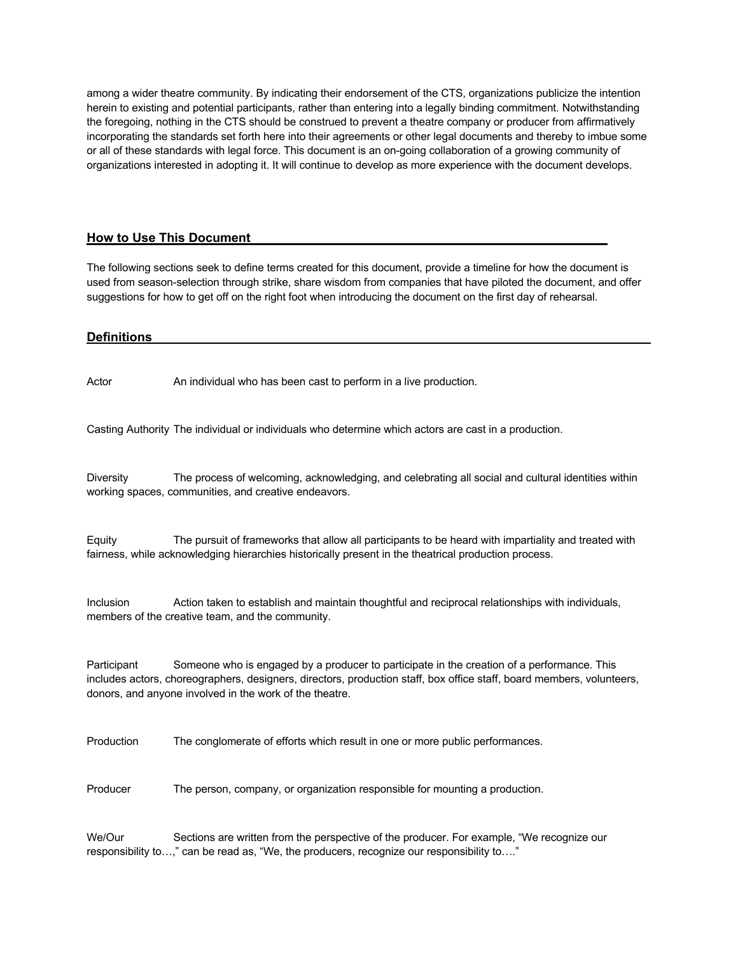among a wider theatre community. By indicating their endorsement of the CTS, organizations publicize the intention herein to existing and potential participants, rather than entering into a legally binding commitment. Notwithstanding the foregoing, nothing in the CTS should be construed to prevent a theatre company or producer from affirmatively incorporating the standards set forth here into their agreements or other legal documents and thereby to imbue some or all of these standards with legal force. This document is an on-going collaboration of a growing community of organizations interested in adopting it. It will continue to develop as more experience with the document develops.

## **How to Use This Document**

The following sections seek to define terms created for this document, provide a timeline for how the document is used from season-selection through strike, share wisdom from companies that have piloted the document, and offer suggestions for how to get off on the right foot when introducing the document on the first day of rehearsal.

## **Definitions**

Actor An individual who has been cast to perform in a live production.

Casting Authority The individual or individuals who determine which actors are cast in a production.

Diversity The process of welcoming, acknowledging, and celebrating all social and cultural identities within working spaces, communities, and creative endeavors.

Equity The pursuit of frameworks that allow all participants to be heard with impartiality and treated with fairness, while acknowledging hierarchies historically present in the theatrical production process.

Inclusion Action taken to establish and maintain thoughtful and reciprocal relationships with individuals, members of the creative team, and the community.

Participant Someone who is engaged by a producer to participate in the creation of a performance. This includes actors, choreographers, designers, directors, production staff, box office staff, board members, volunteers, donors, and anyone involved in the work of the theatre.

Production The conglomerate of efforts which result in one or more public performances.

Producer The person, company, or organization responsible for mounting a production.

We/Our Sections are written from the perspective of the producer. For example, "We recognize our responsibility to…," can be read as, "We, the producers, recognize our responsibility to…."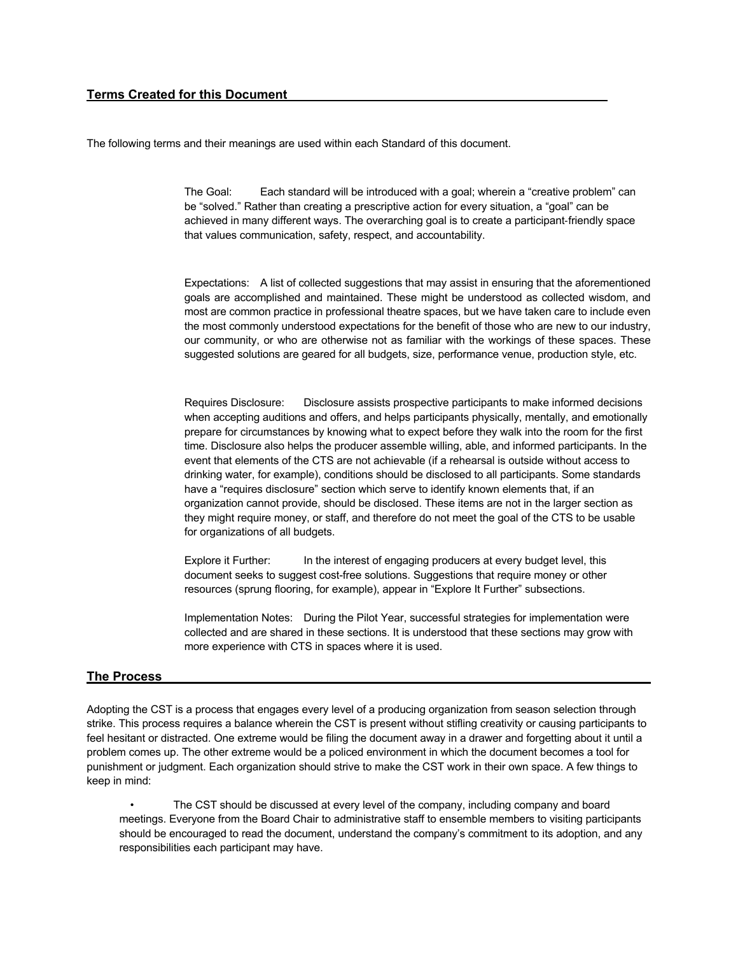## **Terms Created for this Document**

The following terms and their meanings are used within each Standard of this document.

The Goal: Each standard will be introduced with a goal; wherein a "creative problem" can be "solved." Rather than creating a prescriptive action for every situation, a "goal" can be achieved in many different ways. The overarching goal is to create a participant-friendly space that values communication, safety, respect, and accountability.

Expectations: A list of collected suggestions that may assist in ensuring that the aforementioned goals are accomplished and maintained. These might be understood as collected wisdom, and most are common practice in professional theatre spaces, but we have taken care to include even the most commonly understood expectations for the benefit of those who are new to our industry, our community, or who are otherwise not as familiar with the workings of these spaces. These suggested solutions are geared for all budgets, size, performance venue, production style, etc.

Requires Disclosure: Disclosure assists prospective participants to make informed decisions when accepting auditions and offers, and helps participants physically, mentally, and emotionally prepare for circumstances by knowing what to expect before they walk into the room for the first time. Disclosure also helps the producer assemble willing, able, and informed participants. In the event that elements of the CTS are not achievable (if a rehearsal is outside without access to drinking water, for example), conditions should be disclosed to all participants. Some standards have a "requires disclosure" section which serve to identify known elements that, if an organization cannot provide, should be disclosed. These items are not in the larger section as they might require money, or staff, and therefore do not meet the goal of the CTS to be usable for organizations of all budgets.

Explore it Further: In the interest of engaging producers at every budget level, this document seeks to suggest cost-free solutions. Suggestions that require money or other resources (sprung flooring, for example), appear in "Explore It Further" subsections.

Implementation Notes: During the Pilot Year, successful strategies for implementation were collected and are shared in these sections. It is understood that these sections may grow with more experience with CTS in spaces where it is used.

## **The Process**

Adopting the CST is a process that engages every level of a producing organization from season selection through strike. This process requires a balance wherein the CST is present without stifling creativity or causing participants to feel hesitant or distracted. One extreme would be filing the document away in a drawer and forgetting about it until a problem comes up. The other extreme would be a policed environment in which the document becomes a tool for punishment or judgment. Each organization should strive to make the CST work in their own space. A few things to keep in mind:

• The CST should be discussed at every level of the company, including company and board meetings. Everyone from the Board Chair to administrative staff to ensemble members to visiting participants should be encouraged to read the document, understand the company's commitment to its adoption, and any responsibilities each participant may have.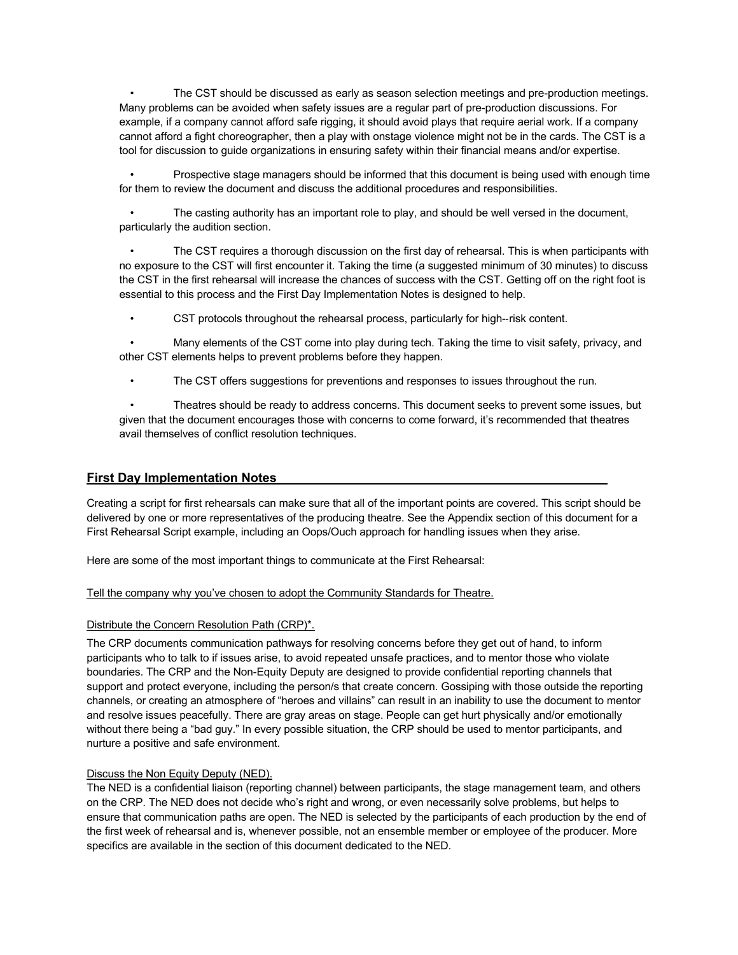• The CST should be discussed as early as season selection meetings and pre-production meetings. Many problems can be avoided when safety issues are a regular part of pre-production discussions. For example, if a company cannot afford safe rigging, it should avoid plays that require aerial work. If a company cannot afford a fight choreographer, then a play with onstage violence might not be in the cards. The CST is a tool for discussion to guide organizations in ensuring safety within their financial means and/or expertise.

• Prospective stage managers should be informed that this document is being used with enough time for them to review the document and discuss the additional procedures and responsibilities.

• The casting authority has an important role to play, and should be well versed in the document, particularly the audition section.

The CST requires a thorough discussion on the first day of rehearsal. This is when participants with no exposure to the CST will first encounter it. Taking the time (a suggested minimum of 30 minutes) to discuss the CST in the first rehearsal will increase the chances of success with the CST. Getting off on the right foot is essential to this process and the First Day Implementation Notes is designed to help.

• CST protocols throughout the rehearsal process, particularly for high--risk content.

• Many elements of the CST come into play during tech. Taking the time to visit safety, privacy, and other CST elements helps to prevent problems before they happen.

• The CST offers suggestions for preventions and responses to issues throughout the run.

• Theatres should be ready to address concerns. This document seeks to prevent some issues, but given that the document encourages those with concerns to come forward, it's recommended that theatres avail themselves of conflict resolution techniques.

## **First Day Implementation Notes**

Creating a script for first rehearsals can make sure that all of the important points are covered. This script should be delivered by one or more representatives of the producing theatre. See the Appendix section of this document for a First Rehearsal Script example, including an Oops/Ouch approach for handling issues when they arise.

Here are some of the most important things to communicate at the First Rehearsal:

#### Tell the company why you've chosen to adopt the Community Standards for Theatre.

#### Distribute the Concern Resolution Path (CRP)\*.

The CRP documents communication pathways for resolving concerns before they get out of hand, to inform participants who to talk to if issues arise, to avoid repeated unsafe practices, and to mentor those who violate boundaries. The CRP and the Non-Equity Deputy are designed to provide confidential reporting channels that support and protect everyone, including the person/s that create concern. Gossiping with those outside the reporting channels, or creating an atmosphere of "heroes and villains" can result in an inability to use the document to mentor and resolve issues peacefully. There are gray areas on stage. People can get hurt physically and/or emotionally without there being a "bad guy." In every possible situation, the CRP should be used to mentor participants, and nurture a positive and safe environment.

#### Discuss the Non Equity Deputy (NED).

The NED is a confidential liaison (reporting channel) between participants, the stage management team, and others on the CRP. The NED does not decide who's right and wrong, or even necessarily solve problems, but helps to ensure that communication paths are open. The NED is selected by the participants of each production by the end of the first week of rehearsal and is, whenever possible, not an ensemble member or employee of the producer. More specifics are available in the section of this document dedicated to the NED.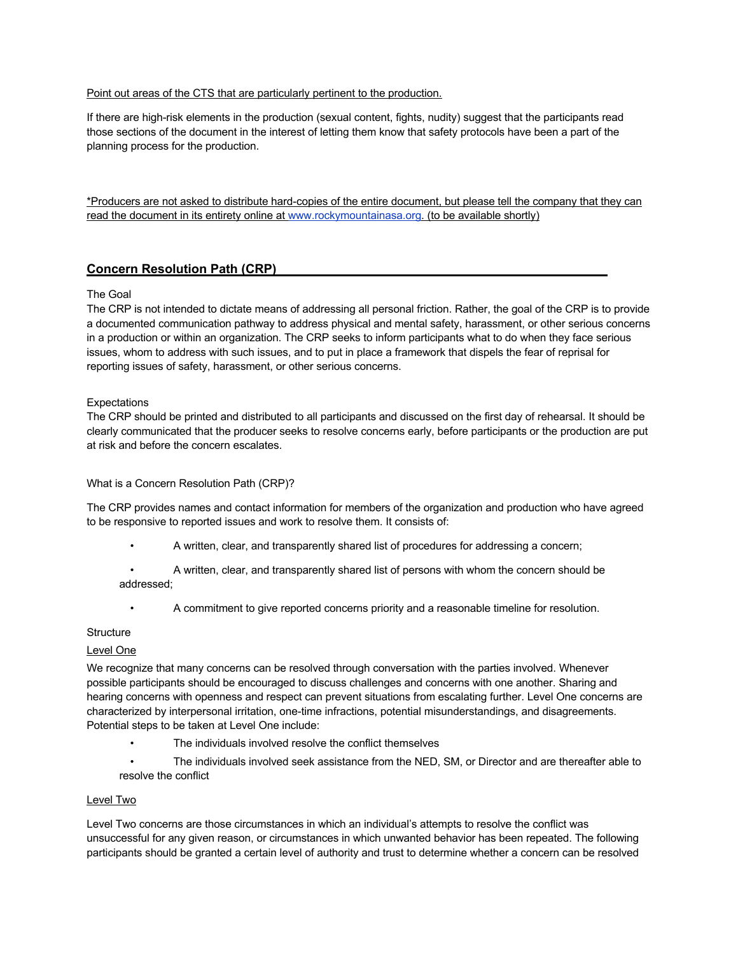## Point out areas of the CTS that are particularly pertinent to the production.

If there are high-risk elements in the production (sexual content, fights, nudity) suggest that the participants read those sections of the document in the interest of letting them know that safety protocols have been a part of the planning process for the production.

\*Producers are not asked to distribute hard-copies of the entire document, but please tell the company that they can read the document in its entirety online at www.rockymountainasa.org. (to be available shortly)

## **Concern Resolution Path (CRP)**

### The Goal

The CRP is not intended to dictate means of addressing all personal friction. Rather, the goal of the CRP is to provide a documented communication pathway to address physical and mental safety, harassment, or other serious concerns in a production or within an organization. The CRP seeks to inform participants what to do when they face serious issues, whom to address with such issues, and to put in place a framework that dispels the fear of reprisal for reporting issues of safety, harassment, or other serious concerns.

### **Expectations**

The CRP should be printed and distributed to all participants and discussed on the first day of rehearsal. It should be clearly communicated that the producer seeks to resolve concerns early, before participants or the production are put at risk and before the concern escalates.

#### What is a Concern Resolution Path (CRP)?

The CRP provides names and contact information for members of the organization and production who have agreed to be responsive to reported issues and work to resolve them. It consists of:

- A written, clear, and transparently shared list of procedures for addressing a concern;
- A written, clear, and transparently shared list of persons with whom the concern should be addressed;
	- A commitment to give reported concerns priority and a reasonable timeline for resolution.

#### **Structure**

## Level One

We recognize that many concerns can be resolved through conversation with the parties involved. Whenever possible participants should be encouraged to discuss challenges and concerns with one another. Sharing and hearing concerns with openness and respect can prevent situations from escalating further. Level One concerns are characterized by interpersonal irritation, one-time infractions, potential misunderstandings, and disagreements. Potential steps to be taken at Level One include:

- The individuals involved resolve the conflict themselves
- The individuals involved seek assistance from the NED, SM, or Director and are thereafter able to resolve the conflict

#### Level Two

Level Two concerns are those circumstances in which an individual's attempts to resolve the conflict was unsuccessful for any given reason, or circumstances in which unwanted behavior has been repeated. The following participants should be granted a certain level of authority and trust to determine whether a concern can be resolved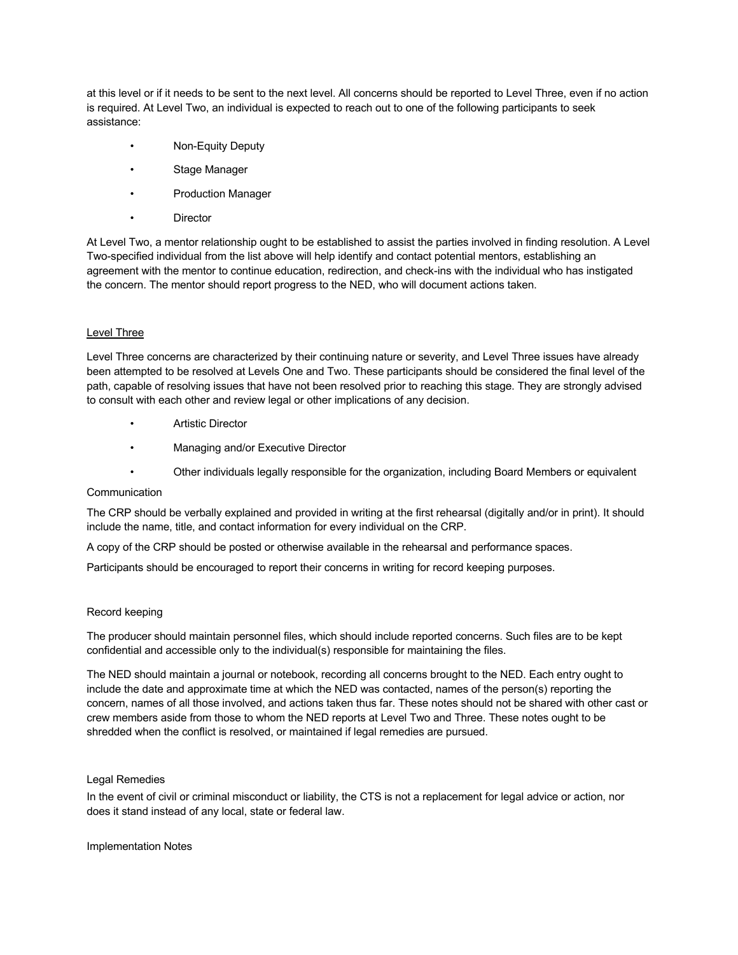at this level or if it needs to be sent to the next level. All concerns should be reported to Level Three, even if no action is required. At Level Two, an individual is expected to reach out to one of the following participants to seek assistance:

- Non-Equity Deputy
- Stage Manager
- Production Manager
- **Director**

At Level Two, a mentor relationship ought to be established to assist the parties involved in finding resolution. A Level Two-specified individual from the list above will help identify and contact potential mentors, establishing an agreement with the mentor to continue education, redirection, and check-ins with the individual who has instigated the concern. The mentor should report progress to the NED, who will document actions taken.

#### Level Three

Level Three concerns are characterized by their continuing nature or severity, and Level Three issues have already been attempted to be resolved at Levels One and Two. These participants should be considered the final level of the path, capable of resolving issues that have not been resolved prior to reaching this stage. They are strongly advised to consult with each other and review legal or other implications of any decision.

- **Artistic Director**
- Managing and/or Executive Director
- Other individuals legally responsible for the organization, including Board Members or equivalent

#### **Communication**

The CRP should be verbally explained and provided in writing at the first rehearsal (digitally and/or in print). It should include the name, title, and contact information for every individual on the CRP.

A copy of the CRP should be posted or otherwise available in the rehearsal and performance spaces.

Participants should be encouraged to report their concerns in writing for record keeping purposes.

#### Record keeping

The producer should maintain personnel files, which should include reported concerns. Such files are to be kept confidential and accessible only to the individual(s) responsible for maintaining the files.

The NED should maintain a journal or notebook, recording all concerns brought to the NED. Each entry ought to include the date and approximate time at which the NED was contacted, names of the person(s) reporting the concern, names of all those involved, and actions taken thus far. These notes should not be shared with other cast or crew members aside from those to whom the NED reports at Level Two and Three. These notes ought to be shredded when the conflict is resolved, or maintained if legal remedies are pursued.

#### Legal Remedies

In the event of civil or criminal misconduct or liability, the CTS is not a replacement for legal advice or action, nor does it stand instead of any local, state or federal law.

Implementation Notes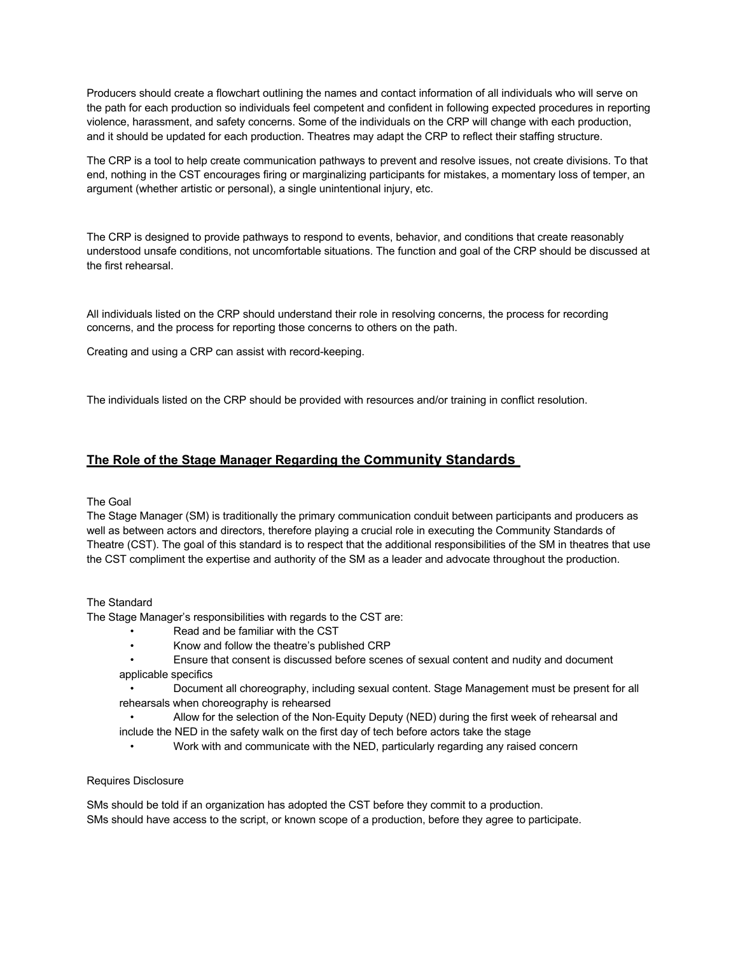Producers should create a flowchart outlining the names and contact information of all individuals who will serve on the path for each production so individuals feel competent and confident in following expected procedures in reporting violence, harassment, and safety concerns. Some of the individuals on the CRP will change with each production, and it should be updated for each production. Theatres may adapt the CRP to reflect their staffing structure.

The CRP is a tool to help create communication pathways to prevent and resolve issues, not create divisions. To that end, nothing in the CST encourages firing or marginalizing participants for mistakes, a momentary loss of temper, an argument (whether artistic or personal), a single unintentional injury, etc.

The CRP is designed to provide pathways to respond to events, behavior, and conditions that create reasonably understood unsafe conditions, not uncomfortable situations. The function and goal of the CRP should be discussed at the first rehearsal.

All individuals listed on the CRP should understand their role in resolving concerns, the process for recording concerns, and the process for reporting those concerns to others on the path.

Creating and using a CRP can assist with record-keeping.

The individuals listed on the CRP should be provided with resources and/or training in conflict resolution.

## **The Role of the Stage Manager Regarding the Community Standards**

#### The Goal

The Stage Manager (SM) is traditionally the primary communication conduit between participants and producers as well as between actors and directors, therefore playing a crucial role in executing the Community Standards of Theatre (CST). The goal of this standard is to respect that the additional responsibilities of the SM in theatres that use the CST compliment the expertise and authority of the SM as a leader and advocate throughout the production.

#### The Standard

The Stage Manager's responsibilities with regards to the CST are:

- Read and be familiar with the CST
- Know and follow the theatre's published CRP
- Ensure that consent is discussed before scenes of sexual content and nudity and document applicable specifics
- Document all choreography, including sexual content. Stage Management must be present for all rehearsals when choreography is rehearsed
- Allow for the selection of the Non-Equity Deputy (NED) during the first week of rehearsal and include the NED in the safety walk on the first day of tech before actors take the stage
	- Work with and communicate with the NED, particularly regarding any raised concern

#### Requires Disclosure

SMs should be told if an organization has adopted the CST before they commit to a production. SMs should have access to the script, or known scope of a production, before they agree to participate.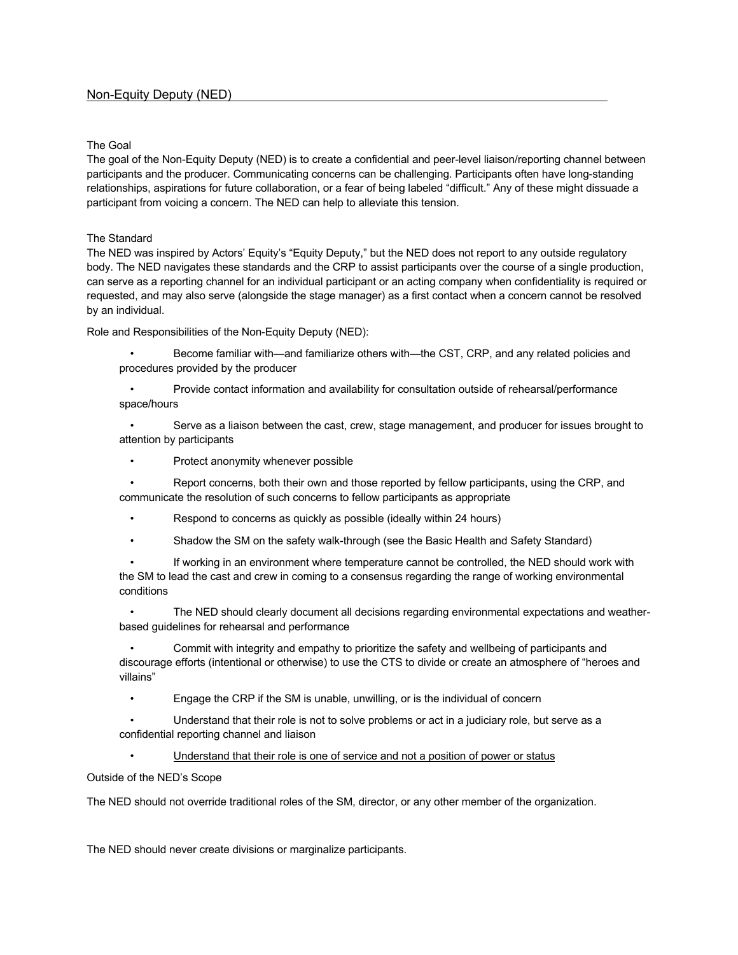## The Goal

The goal of the Non-Equity Deputy (NED) is to create a confidential and peer-level liaison/reporting channel between participants and the producer. Communicating concerns can be challenging. Participants often have long-standing relationships, aspirations for future collaboration, or a fear of being labeled "difficult." Any of these might dissuade a participant from voicing a concern. The NED can help to alleviate this tension.

## The Standard

The NED was inspired by Actors' Equity's "Equity Deputy," but the NED does not report to any outside regulatory body. The NED navigates these standards and the CRP to assist participants over the course of a single production, can serve as a reporting channel for an individual participant or an acting company when confidentiality is required or requested, and may also serve (alongside the stage manager) as a first contact when a concern cannot be resolved by an individual.

Role and Responsibilities of the Non-Equity Deputy (NED):

- Become familiar with—and familiarize others with—the CST, CRP, and any related policies and procedures provided by the producer
- Provide contact information and availability for consultation outside of rehearsal/performance space/hours

• Serve as a liaison between the cast, crew, stage management, and producer for issues brought to attention by participants

• Protect anonymity whenever possible

• Report concerns, both their own and those reported by fellow participants, using the CRP, and communicate the resolution of such concerns to fellow participants as appropriate

- Respond to concerns as quickly as possible (ideally within 24 hours)
- Shadow the SM on the safety walk-through (see the Basic Health and Safety Standard)

If working in an environment where temperature cannot be controlled, the NED should work with the SM to lead the cast and crew in coming to a consensus regarding the range of working environmental conditions

• The NED should clearly document all decisions regarding environmental expectations and weatherbased guidelines for rehearsal and performance

• Commit with integrity and empathy to prioritize the safety and wellbeing of participants and discourage efforts (intentional or otherwise) to use the CTS to divide or create an atmosphere of "heroes and villains"

• Engage the CRP if the SM is unable, unwilling, or is the individual of concern

• Understand that their role is not to solve problems or act in a judiciary role, but serve as a confidential reporting channel and liaison

Understand that their role is one of service and not a position of power or status

Outside of the NED's Scope

The NED should not override traditional roles of the SM, director, or any other member of the organization.

The NED should never create divisions or marginalize participants.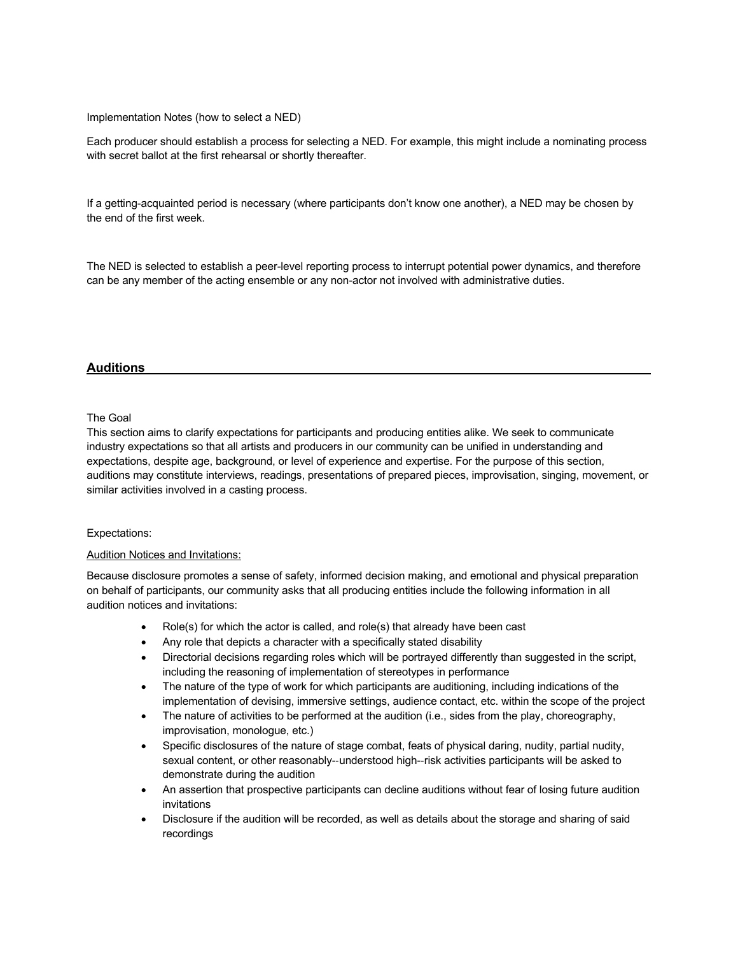Implementation Notes (how to select a NED)

Each producer should establish a process for selecting a NED. For example, this might include a nominating process with secret ballot at the first rehearsal or shortly thereafter.

If a getting-acquainted period is necessary (where participants don't know one another), a NED may be chosen by the end of the first week.

The NED is selected to establish a peer-level reporting process to interrupt potential power dynamics, and therefore can be any member of the acting ensemble or any non-actor not involved with administrative duties.

## **Auditions**

#### The Goal

This section aims to clarify expectations for participants and producing entities alike. We seek to communicate industry expectations so that all artists and producers in our community can be unified in understanding and expectations, despite age, background, or level of experience and expertise. For the purpose of this section, auditions may constitute interviews, readings, presentations of prepared pieces, improvisation, singing, movement, or similar activities involved in a casting process.

#### Expectations:

#### Audition Notices and Invitations:

Because disclosure promotes a sense of safety, informed decision making, and emotional and physical preparation on behalf of participants, our community asks that all producing entities include the following information in all audition notices and invitations:

- Role(s) for which the actor is called, and role(s) that already have been cast
- Any role that depicts a character with a specifically stated disability
- Directorial decisions regarding roles which will be portrayed differently than suggested in the script, including the reasoning of implementation of stereotypes in performance
- The nature of the type of work for which participants are auditioning, including indications of the implementation of devising, immersive settings, audience contact, etc. within the scope of the project
- The nature of activities to be performed at the audition (i.e., sides from the play, choreography, improvisation, monologue, etc.)
- Specific disclosures of the nature of stage combat, feats of physical daring, nudity, partial nudity, sexual content, or other reasonably--understood high--risk activities participants will be asked to demonstrate during the audition
- An assertion that prospective participants can decline auditions without fear of losing future audition invitations
- Disclosure if the audition will be recorded, as well as details about the storage and sharing of said recordings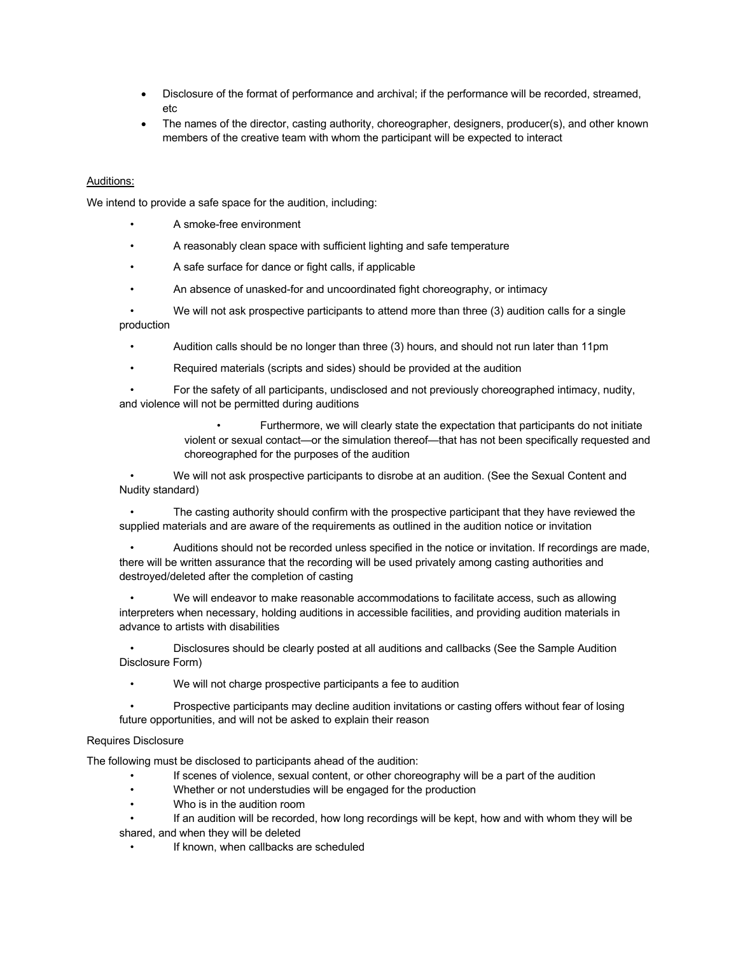- Disclosure of the format of performance and archival; if the performance will be recorded, streamed, etc
- The names of the director, casting authority, choreographer, designers, producer(s), and other known members of the creative team with whom the participant will be expected to interact

## Auditions:

We intend to provide a safe space for the audition, including:

- A smoke-free environment
- A reasonably clean space with sufficient lighting and safe temperature
- A safe surface for dance or fight calls, if applicable
- An absence of unasked-for and uncoordinated fight choreography, or intimacy

• We will not ask prospective participants to attend more than three (3) audition calls for a single production

- Audition calls should be no longer than three (3) hours, and should not run later than 11pm
- Required materials (scripts and sides) should be provided at the audition

• For the safety of all participants, undisclosed and not previously choreographed intimacy, nudity, and violence will not be permitted during auditions

> • Furthermore, we will clearly state the expectation that participants do not initiate violent or sexual contact—or the simulation thereof—that has not been specifically requested and choreographed for the purposes of the audition

• We will not ask prospective participants to disrobe at an audition. (See the Sexual Content and Nudity standard)

• The casting authority should confirm with the prospective participant that they have reviewed the supplied materials and are aware of the requirements as outlined in the audition notice or invitation

• Auditions should not be recorded unless specified in the notice or invitation. If recordings are made, there will be written assurance that the recording will be used privately among casting authorities and destroyed/deleted after the completion of casting

• We will endeavor to make reasonable accommodations to facilitate access, such as allowing interpreters when necessary, holding auditions in accessible facilities, and providing audition materials in advance to artists with disabilities

• Disclosures should be clearly posted at all auditions and callbacks (See the Sample Audition Disclosure Form)

• We will not charge prospective participants a fee to audition

• Prospective participants may decline audition invitations or casting offers without fear of losing future opportunities, and will not be asked to explain their reason

#### Requires Disclosure

The following must be disclosed to participants ahead of the audition:

- If scenes of violence, sexual content, or other choreography will be a part of the audition
- Whether or not understudies will be engaged for the production
- Who is in the audition room

If an audition will be recorded, how long recordings will be kept, how and with whom they will be shared, and when they will be deleted

If known, when callbacks are scheduled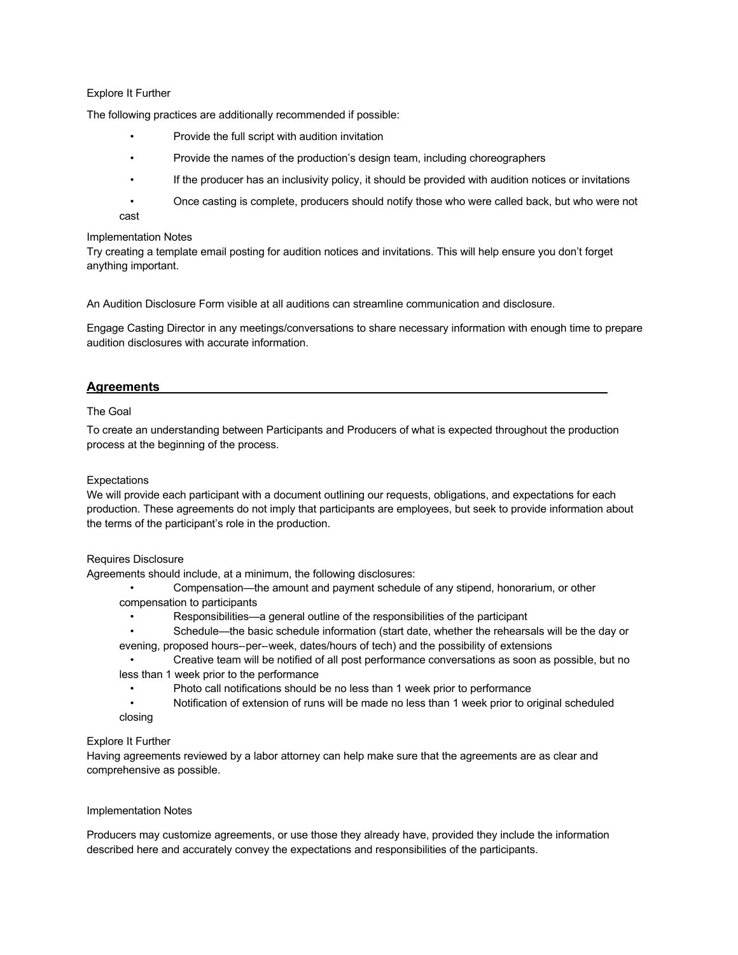#### Explore It Further

The following practices are additionally recommended if possible:

- Provide the full script with audition invitation
- Provide the names of the production's design team, including choreographers
- If the producer has an inclusivity policy, it should be provided with audition notices or invitations
- Once casting is complete, producers should notify those who were called back, but who were not cast

#### Implementation Notes

Try creating a template email posting for audition notices and invitations. This will help ensure you don't forget anything important.

An Audition Disclosure Form visible at all auditions can streamline communication and disclosure.

Engage Casting Director in any meetings/conversations to share necessary information with enough time to prepare audition disclosures with accurate information.

## **Agreements**

### The Goal

To create an understanding between Participants and Producers of what is expected throughout the production process at the beginning of the process.

#### **Expectations**

We will provide each participant with a document outlining our requests, obligations, and expectations for each production. These agreements do not imply that participants are employees, but seek to provide information about the terms of the participant's role in the production.

#### Requires Disclosure

Agreements should include, at a minimum, the following disclosures:

- Compensation—the amount and payment schedule of any stipend, honorarium, or other compensation to participants
	- Responsibilities—a general outline of the responsibilities of the participant
- Schedule—the basic schedule information (start date, whether the rehearsals will be the day or evening, proposed hours--per--week, dates/hours of tech) and the possibility of extensions
- Creative team will be notified of all post performance conversations as soon as possible, but no less than 1 week prior to the performance
	- Photo call notifications should be no less than 1 week prior to performance
- Notification of extension of runs will be made no less than 1 week prior to original scheduled closing

#### Explore It Further

Having agreements reviewed by a labor attorney can help make sure that the agreements are as clear and comprehensive as possible.

#### Implementation Notes

Producers may customize agreements, or use those they already have, provided they include the information described here and accurately convey the expectations and responsibilities of the participants.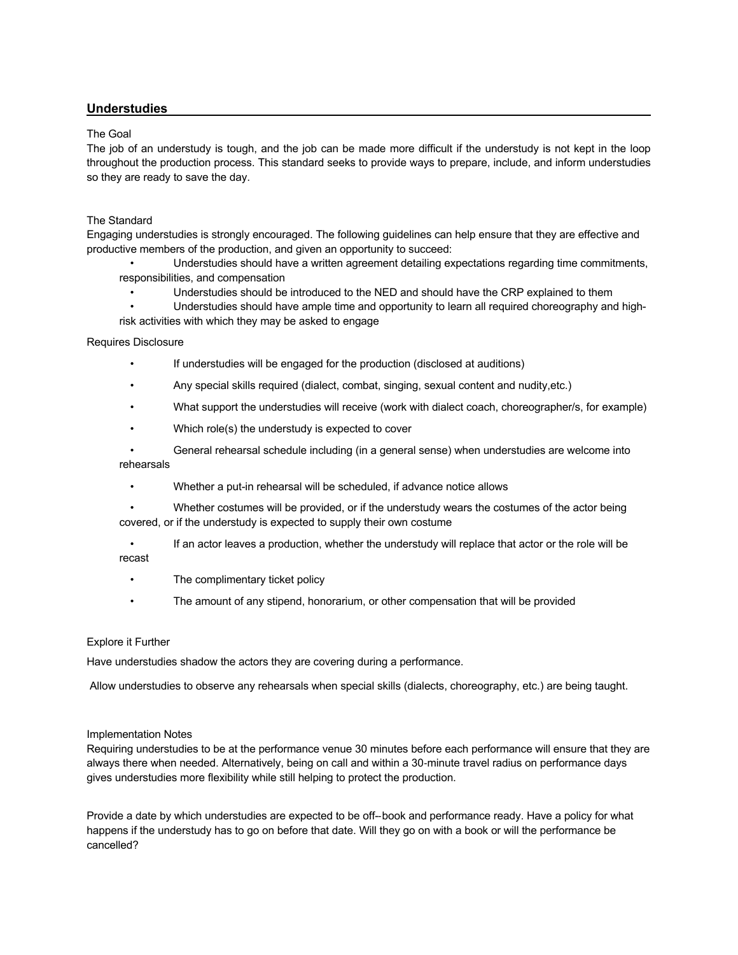## **Understudies**

#### The Goal

The job of an understudy is tough, and the job can be made more difficult if the understudy is not kept in the loop throughout the production process. This standard seeks to provide ways to prepare, include, and inform understudies so they are ready to save the day.

## The Standard

Engaging understudies is strongly encouraged. The following guidelines can help ensure that they are effective and productive members of the production, and given an opportunity to succeed:

• Understudies should have a written agreement detailing expectations regarding time commitments, responsibilities, and compensation

• Understudies should be introduced to the NED and should have the CRP explained to them

• Understudies should have ample time and opportunity to learn all required choreography and highrisk activities with which they may be asked to engage

#### Requires Disclosure

- If understudies will be engaged for the production (disclosed at auditions)
- Any special skills required (dialect, combat, singing, sexual content and nudity,etc.)
- What support the understudies will receive (work with dialect coach, choreographer/s, for example)
- Which role(s) the understudy is expected to cover
- General rehearsal schedule including (in a general sense) when understudies are welcome into rehearsals
	- Whether a put-in rehearsal will be scheduled, if advance notice allows
- Whether costumes will be provided, or if the understudy wears the costumes of the actor being covered, or if the understudy is expected to supply their own costume
- If an actor leaves a production, whether the understudy will replace that actor or the role will be recast
	- The complimentary ticket policy
	- The amount of any stipend, honorarium, or other compensation that will be provided

#### Explore it Further

Have understudies shadow the actors they are covering during a performance.

Allow understudies to observe any rehearsals when special skills (dialects, choreography, etc.) are being taught.

#### Implementation Notes

Requiring understudies to be at the performance venue 30 minutes before each performance will ensure that they are always there when needed. Alternatively, being on call and within a 30-minute travel radius on performance days gives understudies more flexibility while still helping to protect the production.

Provide a date by which understudies are expected to be off--book and performance ready. Have a policy for what happens if the understudy has to go on before that date. Will they go on with a book or will the performance be cancelled?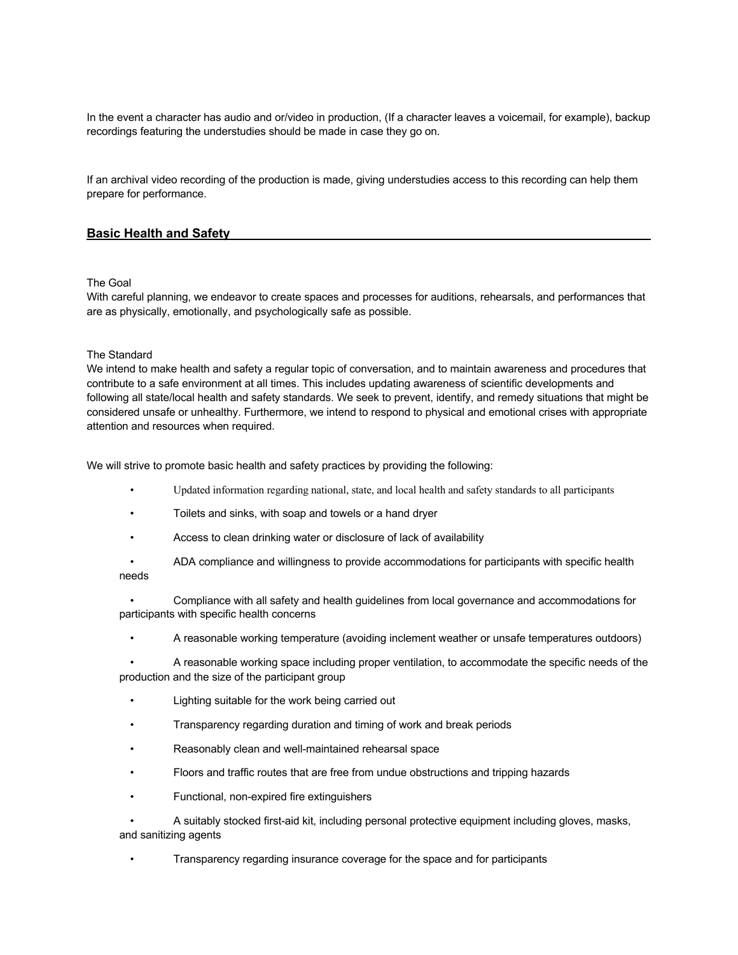In the event a character has audio and or/video in production, (If a character leaves a voicemail, for example), backup recordings featuring the understudies should be made in case they go on.

If an archival video recording of the production is made, giving understudies access to this recording can help them prepare for performance.

## **Basic Health and Safety**

#### The Goal

With careful planning, we endeavor to create spaces and processes for auditions, rehearsals, and performances that are as physically, emotionally, and psychologically safe as possible.

#### The Standard

We intend to make health and safety a regular topic of conversation, and to maintain awareness and procedures that contribute to a safe environment at all times. This includes updating awareness of scientific developments and following all state/local health and safety standards. We seek to prevent, identify, and remedy situations that might be considered unsafe or unhealthy. Furthermore, we intend to respond to physical and emotional crises with appropriate attention and resources when required.

We will strive to promote basic health and safety practices by providing the following:

- Updated information regarding national, state, and local health and safety standards to all participants
- Toilets and sinks, with soap and towels or a hand dryer
- Access to clean drinking water or disclosure of lack of availability
- ADA compliance and willingness to provide accommodations for participants with specific health needs
- Compliance with all safety and health guidelines from local governance and accommodations for participants with specific health concerns
	- A reasonable working temperature (avoiding inclement weather or unsafe temperatures outdoors)

• A reasonable working space including proper ventilation, to accommodate the specific needs of the production and the size of the participant group

- Lighting suitable for the work being carried out
- Transparency regarding duration and timing of work and break periods
- Reasonably clean and well-maintained rehearsal space
- Floors and traffic routes that are free from undue obstructions and tripping hazards
- Functional, non-expired fire extinguishers

• A suitably stocked first-aid kit, including personal protective equipment including gloves, masks, and sanitizing agents

• Transparency regarding insurance coverage for the space and for participants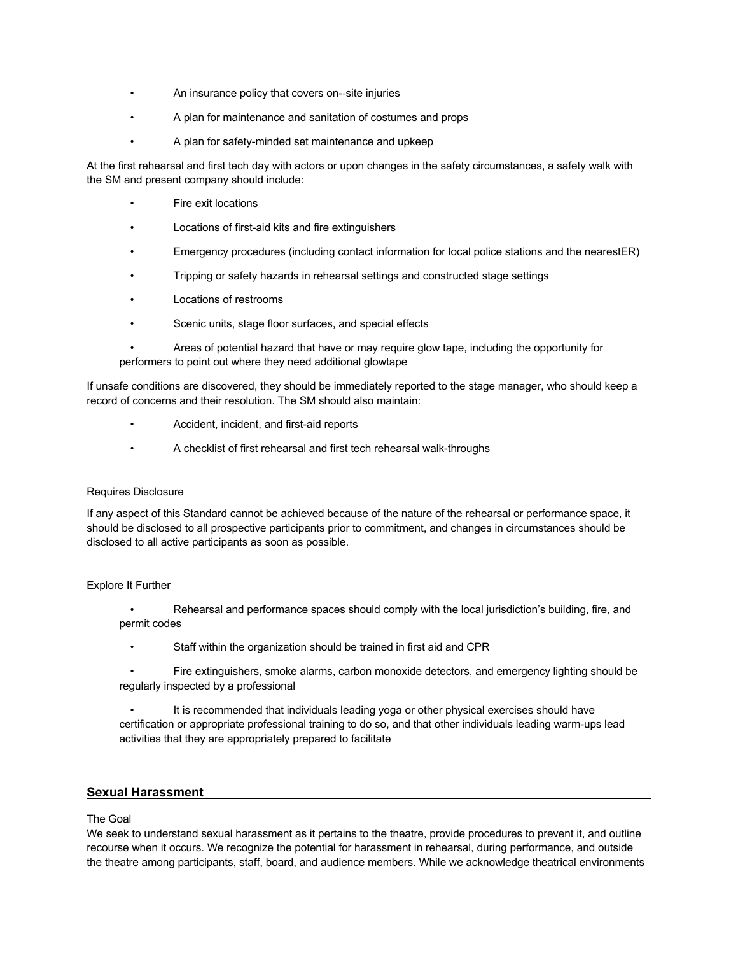- An insurance policy that covers on--site injuries
- A plan for maintenance and sanitation of costumes and props
- A plan for safety-minded set maintenance and upkeep

At the first rehearsal and first tech day with actors or upon changes in the safety circumstances, a safety walk with the SM and present company should include:

- Fire exit locations
- Locations of first-aid kits and fire extinguishers
- Emergency procedures (including contact information for local police stations and the nearestER)
- Tripping or safety hazards in rehearsal settings and constructed stage settings
- Locations of restrooms
- Scenic units, stage floor surfaces, and special effects

• Areas of potential hazard that have or may require glow tape, including the opportunity for performers to point out where they need additional glowtape

If unsafe conditions are discovered, they should be immediately reported to the stage manager, who should keep a record of concerns and their resolution. The SM should also maintain:

- Accident, incident, and first-aid reports
- A checklist of first rehearsal and first tech rehearsal walk-throughs

#### Requires Disclosure

If any aspect of this Standard cannot be achieved because of the nature of the rehearsal or performance space, it should be disclosed to all prospective participants prior to commitment, and changes in circumstances should be disclosed to all active participants as soon as possible.

#### Explore It Further

• Rehearsal and performance spaces should comply with the local jurisdiction's building, fire, and permit codes

- Staff within the organization should be trained in first aid and CPR
- Fire extinguishers, smoke alarms, carbon monoxide detectors, and emergency lighting should be regularly inspected by a professional

It is recommended that individuals leading yoga or other physical exercises should have certification or appropriate professional training to do so, and that other individuals leading warm-ups lead activities that they are appropriately prepared to facilitate

## **Sexual Harassment**

#### The Goal

We seek to understand sexual harassment as it pertains to the theatre, provide procedures to prevent it, and outline recourse when it occurs. We recognize the potential for harassment in rehearsal, during performance, and outside the theatre among participants, staff, board, and audience members. While we acknowledge theatrical environments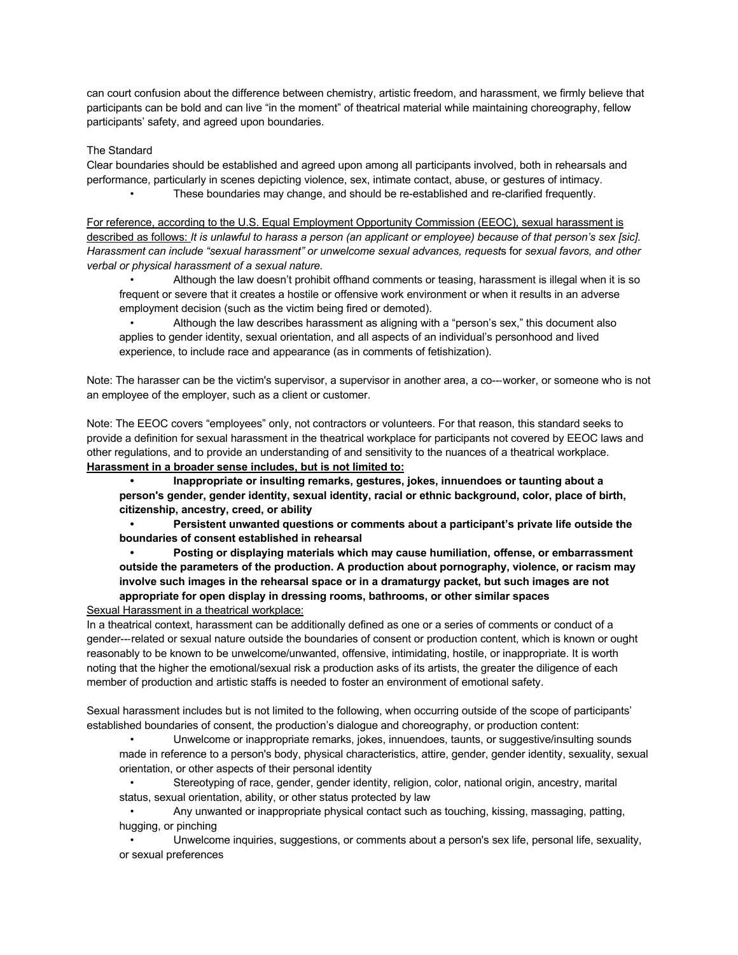can court confusion about the difference between chemistry, artistic freedom, and harassment, we firmly believe that participants can be bold and can live "in the moment" of theatrical material while maintaining choreography, fellow participants' safety, and agreed upon boundaries.

#### The Standard

Clear boundaries should be established and agreed upon among all participants involved, both in rehearsals and performance, particularly in scenes depicting violence, sex, intimate contact, abuse, or gestures of intimacy. • These boundaries may change, and should be re-established and re-clarified frequently.

For reference, according to the U.S. Equal Employment Opportunity Commission (EEOC), sexual harassment is described as follows: *It is unlawful to harass a person (an applicant or employee) because of that person's sex [sic]. Harassment can include "sexual harassment" or unwelcome sexual advances, request*s for *sexual favors, and other verbal or physical harassment of a sexual nature.*

• Although the law doesn't prohibit offhand comments or teasing, harassment is illegal when it is so frequent or severe that it creates a hostile or offensive work environment or when it results in an adverse employment decision (such as the victim being fired or demoted).

• Although the law describes harassment as aligning with a "person's sex," this document also applies to gender identity, sexual orientation, and all aspects of an individual's personhood and lived experience, to include race and appearance (as in comments of fetishization).

Note: The harasser can be the victim's supervisor, a supervisor in another area, a co---worker, or someone who is not an employee of the employer, such as a client or customer.

Note: The EEOC covers "employees" only, not contractors or volunteers. For that reason, this standard seeks to provide a definition for sexual harassment in the theatrical workplace for participants not covered by EEOC laws and other regulations, and to provide an understanding of and sensitivity to the nuances of a theatrical workplace. **Harassment in a broader sense includes, but is not limited to:**

**• Inappropriate or insulting remarks, gestures, jokes, innuendoes or taunting about a person's gender, gender identity, sexual identity, racial or ethnic background, color, place of birth, citizenship, ancestry, creed, or ability**

**• Persistent unwanted questions or comments about a participant's private life outside the boundaries of consent established in rehearsal**

**• Posting or displaying materials which may cause humiliation, offense, or embarrassment outside the parameters of the production. A production about pornography, violence, or racism may involve such images in the rehearsal space or in a dramaturgy packet, but such images are not appropriate for open display in dressing rooms, bathrooms, or other similar spaces**

Sexual Harassment in a theatrical workplace:

In a theatrical context, harassment can be additionally defined as one or a series of comments or conduct of a gender---related or sexual nature outside the boundaries of consent or production content, which is known or ought reasonably to be known to be unwelcome/unwanted, offensive, intimidating, hostile, or inappropriate. It is worth noting that the higher the emotional/sexual risk a production asks of its artists, the greater the diligence of each member of production and artistic staffs is needed to foster an environment of emotional safety.

Sexual harassment includes but is not limited to the following, when occurring outside of the scope of participants' established boundaries of consent, the production's dialogue and choreography, or production content:

• Unwelcome or inappropriate remarks, jokes, innuendoes, taunts, or suggestive/insulting sounds made in reference to a person's body, physical characteristics, attire, gender, gender identity, sexuality, sexual orientation, or other aspects of their personal identity

Stereotyping of race, gender, gender identity, religion, color, national origin, ancestry, marital status, sexual orientation, ability, or other status protected by law

• Any unwanted or inappropriate physical contact such as touching, kissing, massaging, patting, hugging, or pinching

• Unwelcome inquiries, suggestions, or comments about a person's sex life, personal life, sexuality, or sexual preferences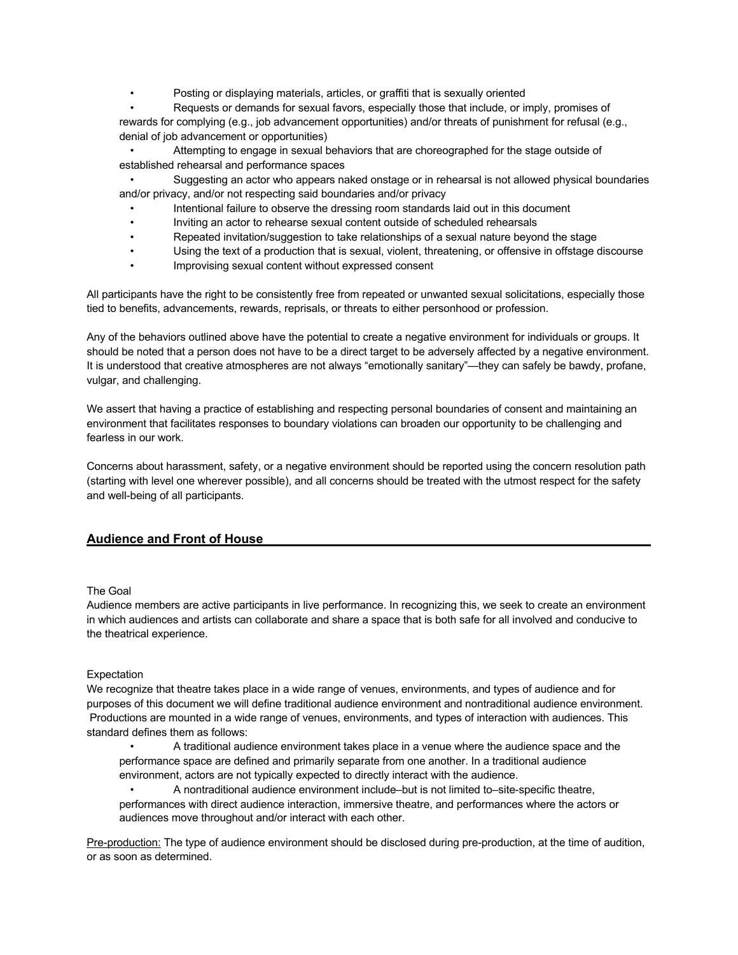Posting or displaying materials, articles, or graffiti that is sexually oriented

• Requests or demands for sexual favors, especially those that include, or imply, promises of rewards for complying (e.g., job advancement opportunities) and/or threats of punishment for refusal (e.g., denial of job advancement or opportunities)

• Attempting to engage in sexual behaviors that are choreographed for the stage outside of established rehearsal and performance spaces

• Suggesting an actor who appears naked onstage or in rehearsal is not allowed physical boundaries and/or privacy, and/or not respecting said boundaries and/or privacy

- Intentional failure to observe the dressing room standards laid out in this document
- Inviting an actor to rehearse sexual content outside of scheduled rehearsals
- Repeated invitation/suggestion to take relationships of a sexual nature beyond the stage
- Using the text of a production that is sexual, violent, threatening, or offensive in offstage discourse
- Improvising sexual content without expressed consent

All participants have the right to be consistently free from repeated or unwanted sexual solicitations, especially those tied to benefits, advancements, rewards, reprisals, or threats to either personhood or profession.

Any of the behaviors outlined above have the potential to create a negative environment for individuals or groups. It should be noted that a person does not have to be a direct target to be adversely affected by a negative environment. It is understood that creative atmospheres are not always "emotionally sanitary"—they can safely be bawdy, profane, vulgar, and challenging.

We assert that having a practice of establishing and respecting personal boundaries of consent and maintaining an environment that facilitates responses to boundary violations can broaden our opportunity to be challenging and fearless in our work.

Concerns about harassment, safety, or a negative environment should be reported using the concern resolution path (starting with level one wherever possible), and all concerns should be treated with the utmost respect for the safety and well-being of all participants.

## **Audience and Front of House**

## The Goal

Audience members are active participants in live performance. In recognizing this, we seek to create an environment in which audiences and artists can collaborate and share a space that is both safe for all involved and conducive to the theatrical experience.

#### **Expectation**

We recognize that theatre takes place in a wide range of venues, environments, and types of audience and for purposes of this document we will define traditional audience environment and nontraditional audience environment. Productions are mounted in a wide range of venues, environments, and types of interaction with audiences. This standard defines them as follows:

• A traditional audience environment takes place in a venue where the audience space and the performance space are defined and primarily separate from one another. In a traditional audience environment, actors are not typically expected to directly interact with the audience.

• A nontraditional audience environment include–but is not limited to–site-specific theatre, performances with direct audience interaction, immersive theatre, and performances where the actors or audiences move throughout and/or interact with each other.

Pre-production: The type of audience environment should be disclosed during pre-production, at the time of audition, or as soon as determined.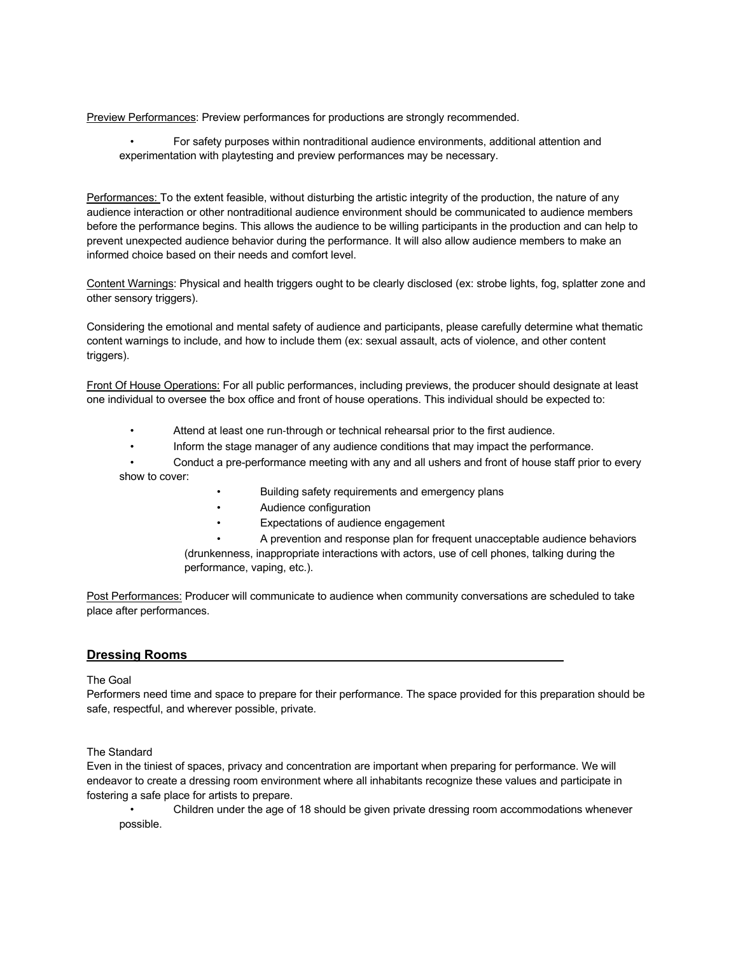Preview Performances: Preview performances for productions are strongly recommended.

• For safety purposes within nontraditional audience environments, additional attention and experimentation with playtesting and preview performances may be necessary.

Performances: To the extent feasible, without disturbing the artistic integrity of the production, the nature of any audience interaction or other nontraditional audience environment should be communicated to audience members before the performance begins. This allows the audience to be willing participants in the production and can help to prevent unexpected audience behavior during the performance. It will also allow audience members to make an informed choice based on their needs and comfort level.

Content Warnings: Physical and health triggers ought to be clearly disclosed (ex: strobe lights, fog, splatter zone and other sensory triggers).

Considering the emotional and mental safety of audience and participants, please carefully determine what thematic content warnings to include, and how to include them (ex: sexual assault, acts of violence, and other content triggers).

Front Of House Operations: For all public performances, including previews, the producer should designate at least one individual to oversee the box office and front of house operations. This individual should be expected to:

- Attend at least one run-through or technical rehearsal prior to the first audience.
- Inform the stage manager of any audience conditions that may impact the performance.

• Conduct a pre-performance meeting with any and all ushers and front of house staff prior to every show to cover:

- Building safety requirements and emergency plans
- Audience configuration
- Expectations of audience engagement
- A prevention and response plan for frequent unacceptable audience behaviors

(drunkenness, inappropriate interactions with actors, use of cell phones, talking during the performance, vaping, etc.).

Post Performances: Producer will communicate to audience when community conversations are scheduled to take place after performances.

## **Dressing Rooms**

#### The Goal

Performers need time and space to prepare for their performance. The space provided for this preparation should be safe, respectful, and wherever possible, private.

The Standard

Even in the tiniest of spaces, privacy and concentration are important when preparing for performance. We will endeavor to create a dressing room environment where all inhabitants recognize these values and participate in fostering a safe place for artists to prepare.

• Children under the age of 18 should be given private dressing room accommodations whenever possible.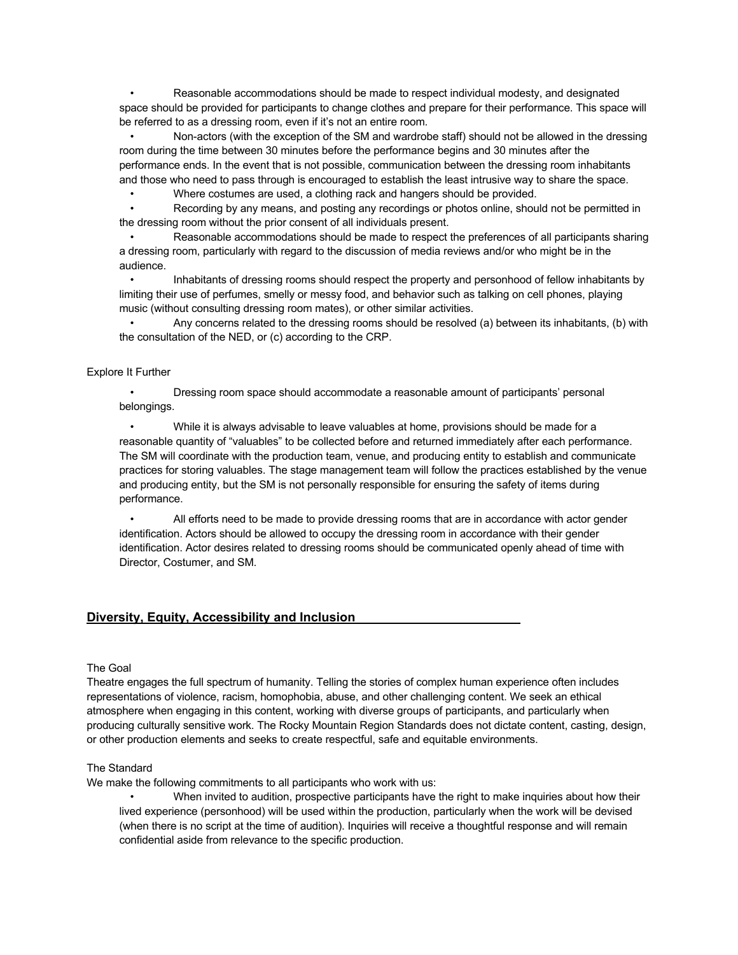• Reasonable accommodations should be made to respect individual modesty, and designated space should be provided for participants to change clothes and prepare for their performance. This space will be referred to as a dressing room, even if it's not an entire room.

• Non-actors (with the exception of the SM and wardrobe staff) should not be allowed in the dressing room during the time between 30 minutes before the performance begins and 30 minutes after the performance ends. In the event that is not possible, communication between the dressing room inhabitants and those who need to pass through is encouraged to establish the least intrusive way to share the space.

• Where costumes are used, a clothing rack and hangers should be provided.

• Recording by any means, and posting any recordings or photos online, should not be permitted in the dressing room without the prior consent of all individuals present.

• Reasonable accommodations should be made to respect the preferences of all participants sharing a dressing room, particularly with regard to the discussion of media reviews and/or who might be in the audience.

• Inhabitants of dressing rooms should respect the property and personhood of fellow inhabitants by limiting their use of perfumes, smelly or messy food, and behavior such as talking on cell phones, playing music (without consulting dressing room mates), or other similar activities.

• Any concerns related to the dressing rooms should be resolved (a) between its inhabitants, (b) with the consultation of the NED, or (c) according to the CRP.

### Explore It Further

• Dressing room space should accommodate a reasonable amount of participants' personal belongings.

• While it is always advisable to leave valuables at home, provisions should be made for a reasonable quantity of "valuables" to be collected before and returned immediately after each performance. The SM will coordinate with the production team, venue, and producing entity to establish and communicate practices for storing valuables. The stage management team will follow the practices established by the venue and producing entity, but the SM is not personally responsible for ensuring the safety of items during performance.

• All efforts need to be made to provide dressing rooms that are in accordance with actor gender identification. Actors should be allowed to occupy the dressing room in accordance with their gender identification. Actor desires related to dressing rooms should be communicated openly ahead of time with Director, Costumer, and SM.

## **Diversity, Equity, Accessibility and Inclusion**

#### The Goal

Theatre engages the full spectrum of humanity. Telling the stories of complex human experience often includes representations of violence, racism, homophobia, abuse, and other challenging content. We seek an ethical atmosphere when engaging in this content, working with diverse groups of participants, and particularly when producing culturally sensitive work. The Rocky Mountain Region Standards does not dictate content, casting, design, or other production elements and seeks to create respectful, safe and equitable environments.

#### The Standard

We make the following commitments to all participants who work with us:

• When invited to audition, prospective participants have the right to make inquiries about how their lived experience (personhood) will be used within the production, particularly when the work will be devised (when there is no script at the time of audition). Inquiries will receive a thoughtful response and will remain confidential aside from relevance to the specific production.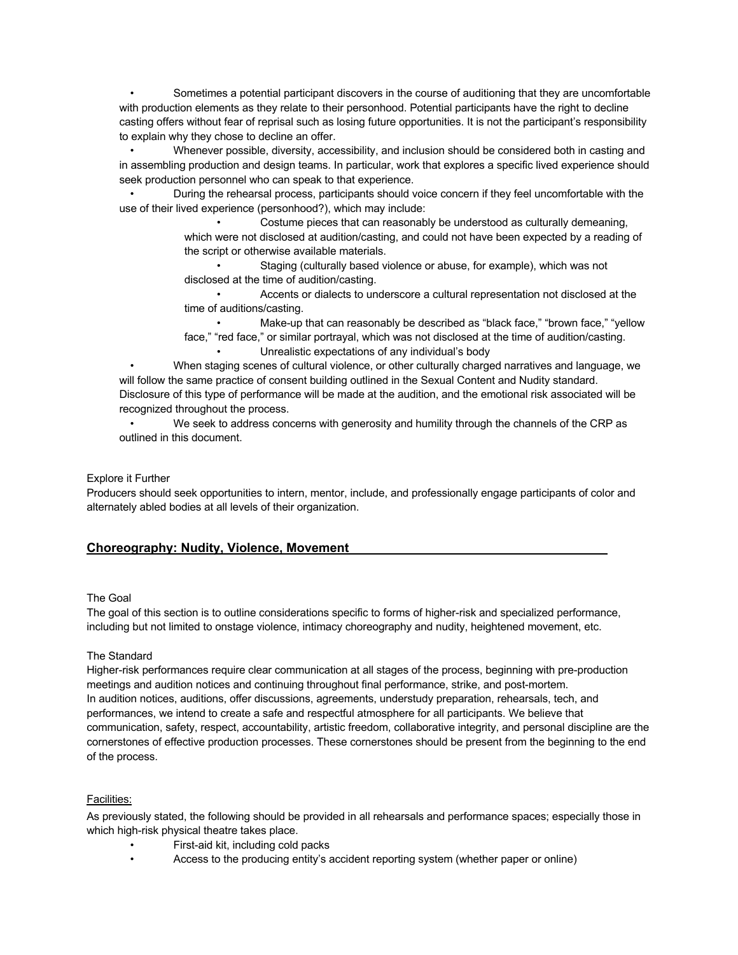• Sometimes a potential participant discovers in the course of auditioning that they are uncomfortable with production elements as they relate to their personhood. Potential participants have the right to decline casting offers without fear of reprisal such as losing future opportunities. It is not the participant's responsibility to explain why they chose to decline an offer.

• Whenever possible, diversity, accessibility, and inclusion should be considered both in casting and in assembling production and design teams. In particular, work that explores a specific lived experience should seek production personnel who can speak to that experience.

• During the rehearsal process, participants should voice concern if they feel uncomfortable with the use of their lived experience (personhood?), which may include:

> • Costume pieces that can reasonably be understood as culturally demeaning, which were not disclosed at audition/casting, and could not have been expected by a reading of the script or otherwise available materials.

• Staging (culturally based violence or abuse, for example), which was not disclosed at the time of audition/casting.

• Accents or dialects to underscore a cultural representation not disclosed at the time of auditions/casting.

Make-up that can reasonably be described as "black face," "brown face," "yellow face," "red face," or similar portrayal, which was not disclosed at the time of audition/casting.

• Unrealistic expectations of any individual's body

• When staging scenes of cultural violence, or other culturally charged narratives and language, we will follow the same practice of consent building outlined in the Sexual Content and Nudity standard. Disclosure of this type of performance will be made at the audition, and the emotional risk associated will be recognized throughout the process.

• We seek to address concerns with generosity and humility through the channels of the CRP as outlined in this document.

## Explore it Further

Producers should seek opportunities to intern, mentor, include, and professionally engage participants of color and alternately abled bodies at all levels of their organization.

## **Choreography: Nudity, Violence, Movement**

#### The Goal

The goal of this section is to outline considerations specific to forms of higher-risk and specialized performance, including but not limited to onstage violence, intimacy choreography and nudity, heightened movement, etc.

#### The Standard

Higher-risk performances require clear communication at all stages of the process, beginning with pre-production meetings and audition notices and continuing throughout final performance, strike, and post-mortem. In audition notices, auditions, offer discussions, agreements, understudy preparation, rehearsals, tech, and performances, we intend to create a safe and respectful atmosphere for all participants. We believe that communication, safety, respect, accountability, artistic freedom, collaborative integrity, and personal discipline are the cornerstones of effective production processes. These cornerstones should be present from the beginning to the end of the process.

## Facilities:

As previously stated, the following should be provided in all rehearsals and performance spaces; especially those in which high-risk physical theatre takes place.

- First-aid kit, including cold packs
- Access to the producing entity's accident reporting system (whether paper or online)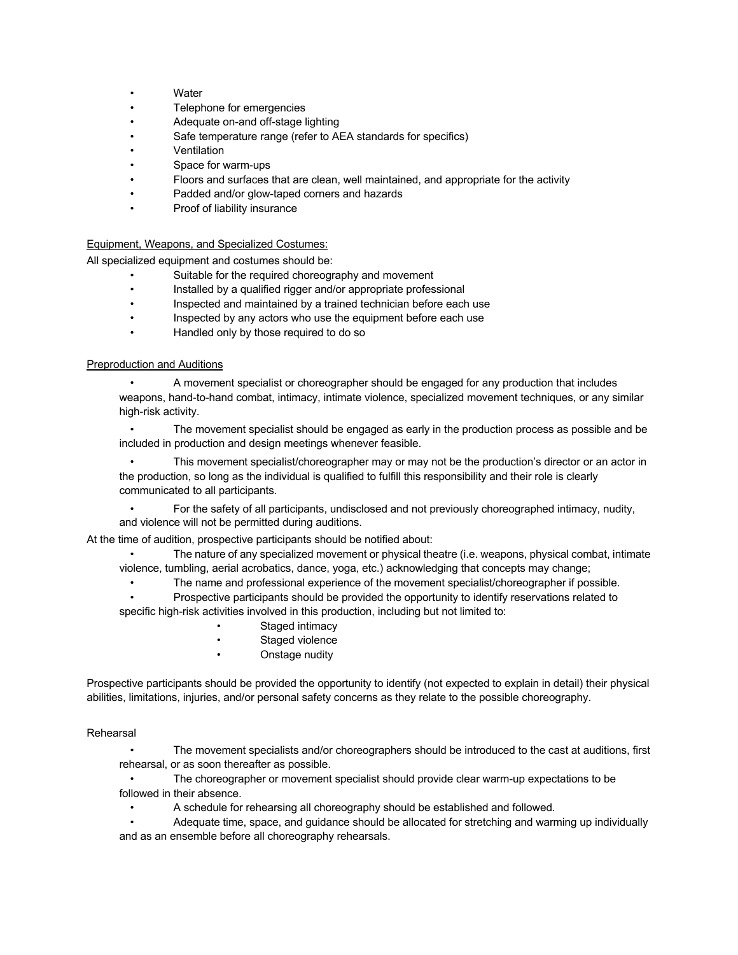- **Water**
- Telephone for emergencies
- Adequate on-and off-stage lighting
- Safe temperature range (refer to AEA standards for specifics)
- Ventilation
- Space for warm-ups
- Floors and surfaces that are clean, well maintained, and appropriate for the activity
- Padded and/or glow-taped corners and hazards
- Proof of liability insurance

#### Equipment, Weapons, and Specialized Costumes:

All specialized equipment and costumes should be:

- Suitable for the required choreography and movement
- Installed by a qualified rigger and/or appropriate professional
- Inspected and maintained by a trained technician before each use
- Inspected by any actors who use the equipment before each use
- Handled only by those required to do so

#### Preproduction and Auditions

• A movement specialist or choreographer should be engaged for any production that includes weapons, hand-to-hand combat, intimacy, intimate violence, specialized movement techniques, or any similar high-risk activity.

• The movement specialist should be engaged as early in the production process as possible and be included in production and design meetings whenever feasible.

• This movement specialist/choreographer may or may not be the production's director or an actor in the production, so long as the individual is qualified to fulfill this responsibility and their role is clearly communicated to all participants.

• For the safety of all participants, undisclosed and not previously choreographed intimacy, nudity, and violence will not be permitted during auditions.

At the time of audition, prospective participants should be notified about:

The nature of any specialized movement or physical theatre (i.e. weapons, physical combat, intimate violence, tumbling, aerial acrobatics, dance, yoga, etc.) acknowledging that concepts may change;

• The name and professional experience of the movement specialist/choreographer if possible.

• Prospective participants should be provided the opportunity to identify reservations related to specific high-risk activities involved in this production, including but not limited to:

- Staged intimacy
- Staged violence
- Onstage nudity

Prospective participants should be provided the opportunity to identify (not expected to explain in detail) their physical abilities, limitations, injuries, and/or personal safety concerns as they relate to the possible choreography.

#### Rehearsal

• The movement specialists and/or choreographers should be introduced to the cast at auditions, first rehearsal, or as soon thereafter as possible.

• The choreographer or movement specialist should provide clear warm-up expectations to be followed in their absence.

• A schedule for rehearsing all choreography should be established and followed.

• Adequate time, space, and guidance should be allocated for stretching and warming up individually and as an ensemble before all choreography rehearsals.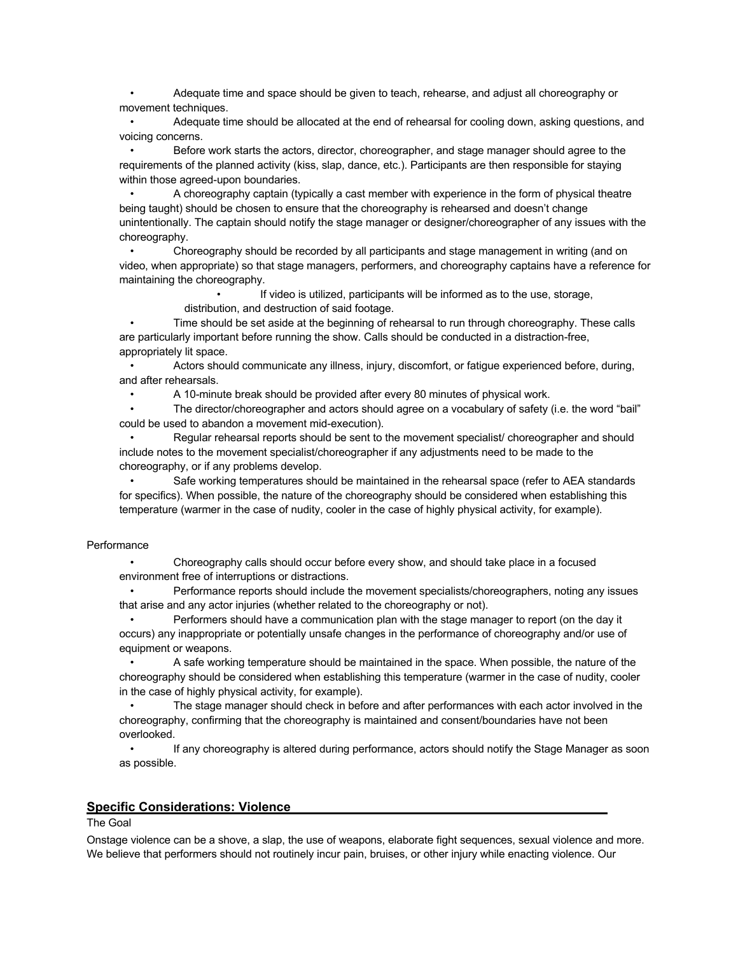• Adequate time and space should be given to teach, rehearse, and adjust all choreography or movement techniques.

• Adequate time should be allocated at the end of rehearsal for cooling down, asking questions, and voicing concerns.

• Before work starts the actors, director, choreographer, and stage manager should agree to the requirements of the planned activity (kiss, slap, dance, etc.). Participants are then responsible for staying within those agreed-upon boundaries.

• A choreography captain (typically a cast member with experience in the form of physical theatre being taught) should be chosen to ensure that the choreography is rehearsed and doesn't change unintentionally. The captain should notify the stage manager or designer/choreographer of any issues with the choreography.

• Choreography should be recorded by all participants and stage management in writing (and on video, when appropriate) so that stage managers, performers, and choreography captains have a reference for maintaining the choreography.

> If video is utilized, participants will be informed as to the use, storage, distribution, and destruction of said footage.

• Time should be set aside at the beginning of rehearsal to run through choreography. These calls are particularly important before running the show. Calls should be conducted in a distraction-free, appropriately lit space.

• Actors should communicate any illness, injury, discomfort, or fatigue experienced before, during, and after rehearsals.

• A 10-minute break should be provided after every 80 minutes of physical work.

• The director/choreographer and actors should agree on a vocabulary of safety (i.e. the word "bail" could be used to abandon a movement mid-execution).

• Regular rehearsal reports should be sent to the movement specialist/ choreographer and should include notes to the movement specialist/choreographer if any adjustments need to be made to the choreography, or if any problems develop.

• Safe working temperatures should be maintained in the rehearsal space (refer to AEA standards for specifics). When possible, the nature of the choreography should be considered when establishing this temperature (warmer in the case of nudity, cooler in the case of highly physical activity, for example).

### **Performance**

• Choreography calls should occur before every show, and should take place in a focused environment free of interruptions or distractions.

• Performance reports should include the movement specialists/choreographers, noting any issues that arise and any actor injuries (whether related to the choreography or not).

• Performers should have a communication plan with the stage manager to report (on the day it occurs) any inappropriate or potentially unsafe changes in the performance of choreography and/or use of equipment or weapons.

• A safe working temperature should be maintained in the space. When possible, the nature of the choreography should be considered when establishing this temperature (warmer in the case of nudity, cooler in the case of highly physical activity, for example).

• The stage manager should check in before and after performances with each actor involved in the choreography, confirming that the choreography is maintained and consent/boundaries have not been overlooked.

• If any choreography is altered during performance, actors should notify the Stage Manager as soon as possible.

#### **Specific Considerations: Violence**

## The Goal

Onstage violence can be a shove, a slap, the use of weapons, elaborate fight sequences, sexual violence and more. We believe that performers should not routinely incur pain, bruises, or other injury while enacting violence. Our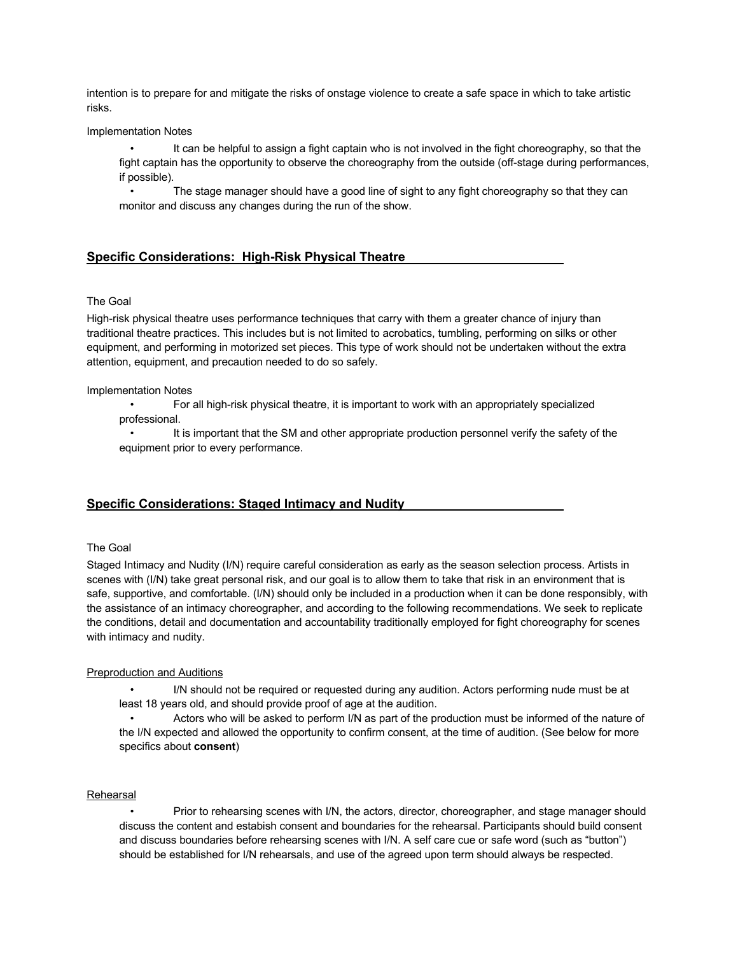intention is to prepare for and mitigate the risks of onstage violence to create a safe space in which to take artistic risks.

#### Implementation Notes

It can be helpful to assign a fight captain who is not involved in the fight choreography, so that the fight captain has the opportunity to observe the choreography from the outside (off-stage during performances, if possible).

• The stage manager should have a good line of sight to any fight choreography so that they can monitor and discuss any changes during the run of the show.

## **Specific Considerations: High-Risk Physical Theatre**

#### The Goal

High-risk physical theatre uses performance techniques that carry with them a greater chance of injury than traditional theatre practices. This includes but is not limited to acrobatics, tumbling, performing on silks or other equipment, and performing in motorized set pieces. This type of work should not be undertaken without the extra attention, equipment, and precaution needed to do so safely.

#### Implementation Notes

• For all high-risk physical theatre, it is important to work with an appropriately specialized professional.

• It is important that the SM and other appropriate production personnel verify the safety of the equipment prior to every performance.

## **Specific Considerations: Staged Intimacy and Nudity**

#### The Goal

Staged Intimacy and Nudity (I/N) require careful consideration as early as the season selection process. Artists in scenes with (I/N) take great personal risk, and our goal is to allow them to take that risk in an environment that is safe, supportive, and comfortable. (I/N) should only be included in a production when it can be done responsibly, with the assistance of an intimacy choreographer, and according to the following recommendations. We seek to replicate the conditions, detail and documentation and accountability traditionally employed for fight choreography for scenes with intimacy and nudity.

#### Preproduction and Auditions

• I/N should not be required or requested during any audition. Actors performing nude must be at least 18 years old, and should provide proof of age at the audition.

• Actors who will be asked to perform I/N as part of the production must be informed of the nature of the I/N expected and allowed the opportunity to confirm consent, at the time of audition. (See below for more specifics about **consent**)

#### Rehearsal

• Prior to rehearsing scenes with I/N, the actors, director, choreographer, and stage manager should discuss the content and estabish consent and boundaries for the rehearsal. Participants should build consent and discuss boundaries before rehearsing scenes with I/N. A self care cue or safe word (such as "button") should be established for I/N rehearsals, and use of the agreed upon term should always be respected.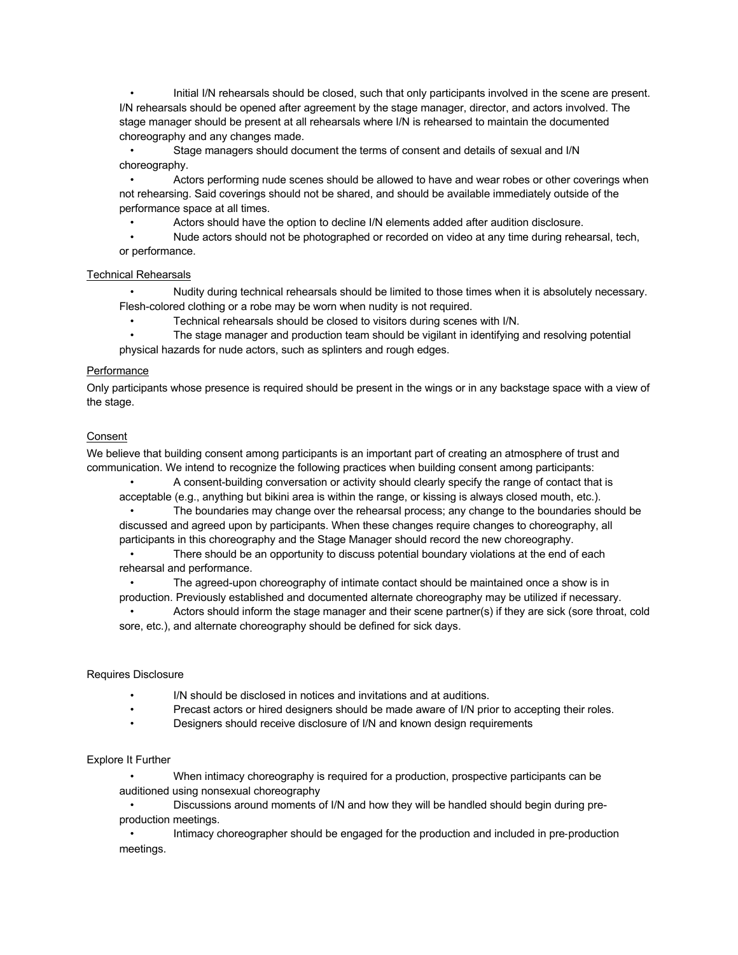• Initial I/N rehearsals should be closed, such that only participants involved in the scene are present. I/N rehearsals should be opened after agreement by the stage manager, director, and actors involved. The stage manager should be present at all rehearsals where I/N is rehearsed to maintain the documented choreography and any changes made.

• Stage managers should document the terms of consent and details of sexual and I/N choreography.

• Actors performing nude scenes should be allowed to have and wear robes or other coverings when not rehearsing. Said coverings should not be shared, and should be available immediately outside of the performance space at all times.

• Actors should have the option to decline I/N elements added after audition disclosure.

• Nude actors should not be photographed or recorded on video at any time during rehearsal, tech, or performance.

### Technical Rehearsals

• Nudity during technical rehearsals should be limited to those times when it is absolutely necessary. Flesh-colored clothing or a robe may be worn when nudity is not required.

• Technical rehearsals should be closed to visitors during scenes with I/N.

• The stage manager and production team should be vigilant in identifying and resolving potential physical hazards for nude actors, such as splinters and rough edges.

### Performance

Only participants whose presence is required should be present in the wings or in any backstage space with a view of the stage.

## Consent

We believe that building consent among participants is an important part of creating an atmosphere of trust and communication. We intend to recognize the following practices when building consent among participants:

• A consent-building conversation or activity should clearly specify the range of contact that is acceptable (e.g., anything but bikini area is within the range, or kissing is always closed mouth, etc.).

• The boundaries may change over the rehearsal process; any change to the boundaries should be discussed and agreed upon by participants. When these changes require changes to choreography, all participants in this choreography and the Stage Manager should record the new choreography.

There should be an opportunity to discuss potential boundary violations at the end of each rehearsal and performance.

• The agreed-upon choreography of intimate contact should be maintained once a show is in production. Previously established and documented alternate choreography may be utilized if necessary.

• Actors should inform the stage manager and their scene partner(s) if they are sick (sore throat, cold sore, etc.), and alternate choreography should be defined for sick days.

#### Requires Disclosure

- I/N should be disclosed in notices and invitations and at auditions.
- Precast actors or hired designers should be made aware of I/N prior to accepting their roles.
- Designers should receive disclosure of I/N and known design requirements

#### Explore It Further

• When intimacy choreography is required for a production, prospective participants can be auditioned using nonsexual choreography

• Discussions around moments of I/N and how they will be handled should begin during preproduction meetings.

• Intimacy choreographer should be engaged for the production and included in pre-production meetings.